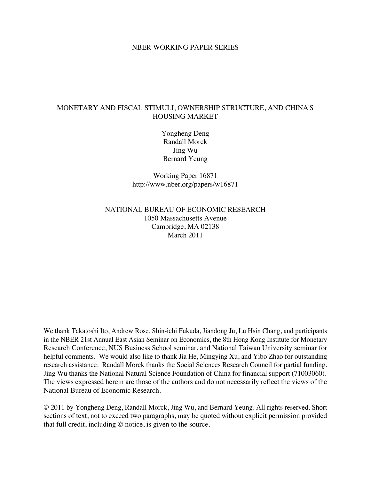#### NBER WORKING PAPER SERIES

### MONETARY AND FISCAL STIMULI, OWNERSHIP STRUCTURE, AND CHINA'S HOUSING MARKET

Yongheng Deng Randall Morck Jing Wu Bernard Yeung

Working Paper 16871 http://www.nber.org/papers/w16871

## NATIONAL BUREAU OF ECONOMIC RESEARCH 1050 Massachusetts Avenue Cambridge, MA 02138 March 2011

We thank Takatoshi Ito, Andrew Rose, Shin-ichi Fukuda, Jiandong Ju, Lu Hsin Chang, and participants in the NBER 21st Annual East Asian Seminar on Economics, the 8th Hong Kong Institute for Monetary Research Conference, NUS Business School seminar, and National Taiwan University seminar for helpful comments. We would also like to thank Jia He, Mingying Xu, and Yibo Zhao for outstanding research assistance. Randall Morck thanks the Social Sciences Research Council for partial funding. Jing Wu thanks the National Natural Science Foundation of China for financial support (71003060). The views expressed herein are those of the authors and do not necessarily reflect the views of the National Bureau of Economic Research.

© 2011 by Yongheng Deng, Randall Morck, Jing Wu, and Bernard Yeung. All rights reserved. Short sections of text, not to exceed two paragraphs, may be quoted without explicit permission provided that full credit, including © notice, is given to the source.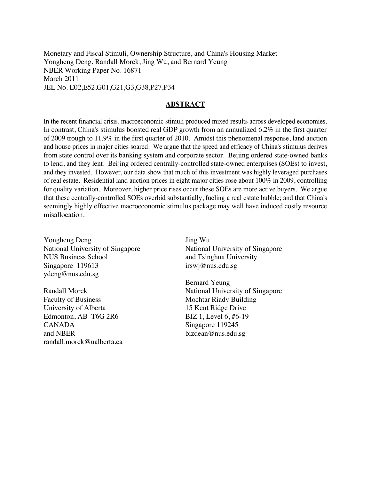Monetary and Fiscal Stimuli, Ownership Structure, and China's Housing Market Yongheng Deng, Randall Morck, Jing Wu, and Bernard Yeung NBER Working Paper No. 16871 March 2011 JEL No. E02,E52,G01,G21,G3,G38,P27,P34

#### **ABSTRACT**

In the recent financial crisis, macroeconomic stimuli produced mixed results across developed economies. In contrast, China's stimulus boosted real GDP growth from an annualized 6.2% in the first quarter of 2009 trough to 11.9% in the first quarter of 2010. Amidst this phenomenal response, land auction and house prices in major cities soared. We argue that the speed and efficacy of China's stimulus derives from state control over its banking system and corporate sector. Beijing ordered state-owned banks to lend, and they lent. Beijing ordered centrally-controlled state-owned enterprises (SOEs) to invest, and they invested. However, our data show that much of this investment was highly leveraged purchases of real estate. Residential land auction prices in eight major cities rose about 100% in 2009, controlling for quality variation. Moreover, higher price rises occur these SOEs are more active buyers. We argue that these centrally-controlled SOEs overbid substantially, fueling a real estate bubble; and that China's seemingly highly effective macroeconomic stimulus package may well have induced costly resource misallocation.

Yongheng Deng National University of Singapore NUS Business School Singapore 119613 ydeng@nus.edu.sg

Randall Morck Faculty of Business University of Alberta Edmonton, AB T6G 2R6 CANADA and NBER randall.morck@ualberta.ca Jing Wu National University of Singapore and Tsinghua University irswj@nus.edu.sg

Bernard Yeung National University of Singapore Mochtar Riady Building 15 Kent Ridge Drive BIZ 1, Level 6, #6-19 Singapore 119245 bizdean@nus.edu.sg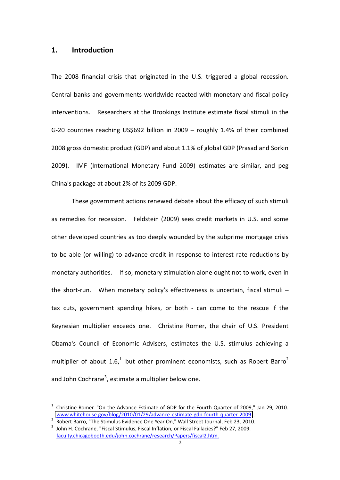## **1.# Introduction**

The 2008 financial crisis that originated in the U.S. triggered a global recession. Central banks and governments worldwide reacted with monetary and fiscal policy interventions.! ! Researchers!at! the!Brookings!Institute!estimate fiscal!stimuli in! the! G-20 countries reaching US\$692 billion in 2009  $-$  roughly 1.4% of their combined 2008 gross domestic product (GDP) and about 1.1% of global GDP (Prasad and Sorkin 2009). IMF (International Monetary Fund 2009) estimates are similar, and peg China's package at about 2% of its 2009 GDP.

These government actions renewed debate about the efficacy of such stimuli as remedies for recession. Feldstein (2009) sees credit markets in U.S. and some other developed countries as too deeply wounded by the subprime mortgage crisis to be able (or willing) to advance credit in response to interest rate reductions by monetary authorities. If so, monetary stimulation alone ought not to work, even in the short-run. When monetary policy's effectiveness is uncertain, fiscal stimuli  $$ tax cuts, government spending hikes, or both - can come to the rescue if the Keynesian multiplier exceeds one. Christine Romer, the chair of U.S. President Obama's Council of Economic Advisers, estimates the U.S. stimulus achieving a multiplier of about  $1.6<sup>1</sup>$  but other prominent economists, such as Robert Barro<sup>2</sup> and John Cochrane<sup>3</sup>, estimate a multiplier below one.

 $<sup>1</sup>$  Christine Romer. "On the Advance Estimate of GDP for the Fourth Quarter of 2009," Jan 29, 2010.</sup> www.whitehouse.gov/blog/2010/01/29/advance-estimate-gdp-fourth-quarter-2009...<br>Robert Barro, "The Stimulus Evidence One Year On," Wall Street Journal, Feb 23, 2010.<br>John H. Cochrane. "Fiscal Stimulus, Fiscal Inflation, or

faculty.chicagobooth.edu/john.cochrane/research/Papers/fiscal2.htm.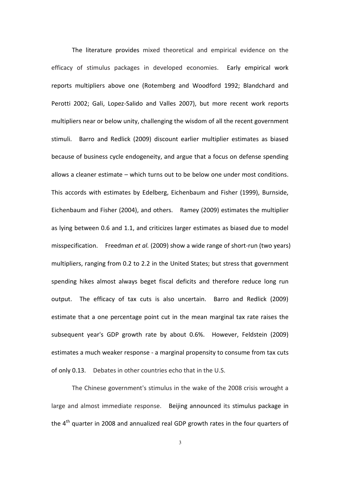The literature provides mixed theoretical and empirical evidence on the efficacy of stimulus packages in developed economies. Early empirical work reports multipliers above one (Rotemberg and Woodford 1992; Blandchard and Perotti 2002; Gali, Lopez-Salido and Valles 2007), but more recent work reports multipliers near or below unity, challenging the wisdom of all the recent government stimuli. Barro and Redlick (2009) discount earlier multiplier estimates as biased because of business cycle endogeneity, and argue that a focus on defense spending allows a cleaner estimate  $-$  which turns out to be below one under most conditions. This accords with estimates by Edelberg, Eichenbaum and Fisher (1999), Burnside, Eichenbaum and Fisher (2004), and others. Ramey (2009) estimates the multiplier as lying between 0.6 and 1.1, and criticizes larger estimates as biased due to model misspecification. Freedman *et al.* (2009) show a wide range of short-run (two years) multipliers, ranging from 0.2 to 2.2 in the United States; but stress that government spending hikes almost always beget fiscal deficits and therefore reduce long run output. The efficacy of tax cuts is also uncertain. Barro and Redlick (2009) estimate that a one percentage point cut in the mean marginal tax rate raises the subsequent year's GDP growth rate by about 0.6%. However, Feldstein (2009) estimates a much weaker response - a marginal propensity to consume from tax cuts of only 0.13. Debates in other countries echo that in the U.S.

The Chinese government's stimulus in the wake of the 2008 crisis wrought a large and almost immediate response. Beijing announced its stimulus package in the  $4<sup>th</sup>$  quarter in 2008 and annualized real GDP growth rates in the four quarters of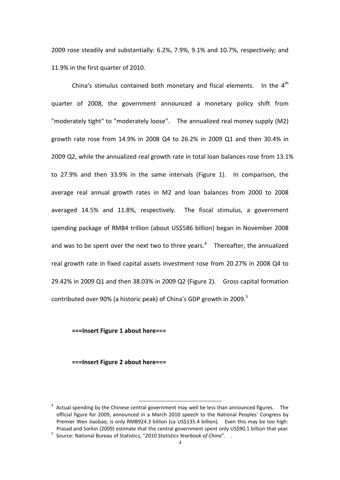2009 rose steadily and substantially:  $6.2\%$ ,  $7.9\%$ ,  $9.1\%$  and  $10.7\%$ , respectively; and 11.9% in the first quarter of 2010.

China's stimulus contained both monetary and fiscal elements. In the  $4<sup>th</sup>$ quarter of 2008, the government announced a monetary policy shift from "moderately tight" to "moderately loose". The annualized real money supply (M2) growth rate rose from 14.9% in 2008 Q4 to 26.2% in 2009 Q1 and then 30.4% in 2009 Q2, while the annualized real growth rate in total loan balances rose from  $13.1\%$ to 27.9% and then 33.9% in the same intervals (Figure 1). In comparison, the average real annual growth rates in M2 and loan balances from 2000 to 2008 averaged 14.5% and 11.8%, respectively. The fiscal stimulus, a government spending package of RMB4 trillion (about US\$586 billion) began in November 2008 and was to be spent over the next two to three years. $4$  Thereafter, the annualized real growth rate in fixed capital assets investment rose from 20.27% in 2008 Q4 to 29.42% in 2009 Q1 and then  $38.03\%$  in 2009 Q2 (Figure 2). Gross capital formation contributed over 90% (a historic peak) of China's GDP growth in 2009.<sup>5</sup>

#### ===Insert Figure 1 about here===

#### **===Insert#Figure#2 about#here===**

 $<sup>4</sup>$  Actual spending by the Chinese central government may well be less than announced figures. The</sup> official figure for 2009, announced in a March 2010 speech to the National Peoples' Congress by Premier!Wen! Jiaobao,!is!only!RMB924.3!billion! (ca!US\$135.4!billion).! ! Even! this!may!be! too!high:! Prasad and Sorkin (2009) estimate that the central government spent only US\$90.1 billion that year.<br><sup>5</sup> Source: National Bureau of Statistics, *"2010 Statistics Yearbook of China"*. .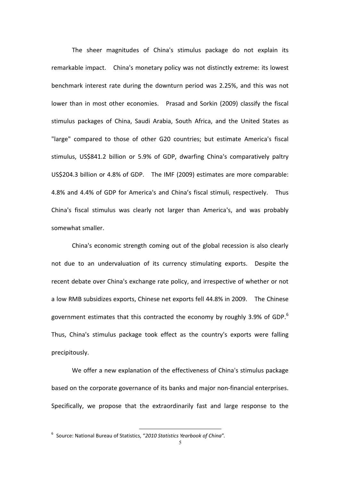The sheer magnitudes of China's stimulus package do not explain its remarkable impact. China's monetary policy was not distinctly extreme: its lowest benchmark interest rate during the downturn period was 2.25%, and this was not lower than in most other economies. Prasad and Sorkin (2009) classify the fiscal stimulus packages of China, Saudi Arabia, South Africa, and the United States as "large" compared to those of other G20 countries; but estimate America's fiscal stimulus, US\$841.2 billion or 5.9% of GDP, dwarfing China's comparatively paltry US\$204.3 billion or 4.8% of GDP. The IMF (2009) estimates are more comparable: 4.8% and 4.4% of GDP for America's and China's fiscal stimuli, respectively. Thus China's fiscal stimulus was clearly not larger than America's, and was probably somewhat smaller.

China's economic strength coming out of the global recession is also clearly not due to an undervaluation of its currency stimulating exports. Despite the recent debate over China's exchange rate policy, and irrespective of whether or not a low RMB subsidizes exports, Chinese net exports fell 44.8% in 2009. The Chinese government estimates that this contracted the economy by roughly 3.9% of GDP.<sup>6</sup> Thus. China's stimulus package took effect as the country's exports were falling precipitously.

We offer a new explanation of the effectiveness of China's stimulus package based on the corporate governance of its banks and major non-financial enterprises. Specifically, we propose that the extraordinarily fast and large response to the

<sup>&</sup>lt;sup>6</sup> Source: National Bureau of Statistics, "2010 Statistics Yearbook of China".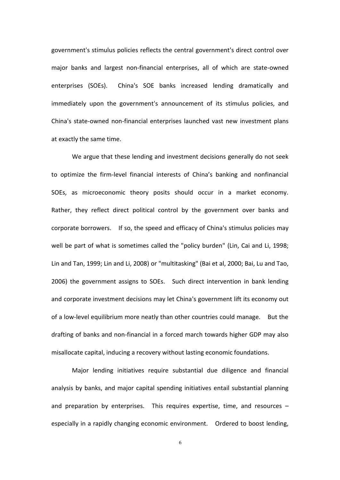government's stimulus policies reflects the central government's direct control over major banks and largest non-financial enterprises, all of which are state-owned enterprises (SOEs).! ! China's! SOE banks! increased! lending! dramatically! and immediately upon the government's announcement of its stimulus policies, and China's state-owned non-financial enterprises launched vast new investment plans at exactly the same time.

We argue that these lending and investment decisions generally do not seek to optimize the firm-level financial interests of China's banking and nonfinancial SOEs, as microeconomic theory posits should occur in a market economy. Rather, they reflect direct political control by the government over banks and corporate borrowers. If so, the speed and efficacy of China's stimulus policies may well be part of what is sometimes called the "policy burden" (Lin, Cai and Li, 1998; Lin and Tan, 1999; Lin and Li, 2008) or "multitasking" (Bai et al, 2000; Bai, Lu and Tao, 2006) the government assigns to SOEs. Such direct intervention in bank lending and corporate investment decisions may let China's government lift its economy out of!a!lowDlevel!equilibrium!more!neatly!than!other!countries!could!manage.! ! But!the! drafting of banks and non-financial in a forced march towards higher GDP may also misallocate capital, inducing a recovery without lasting economic foundations.

Major lending initiatives require substantial due diligence and financial analysis by banks, and major capital spending initiatives entail substantial planning and preparation by enterprises. This requires expertise, time, and resources  $$ especially in a rapidly changing economic environment. Ordered to boost lending,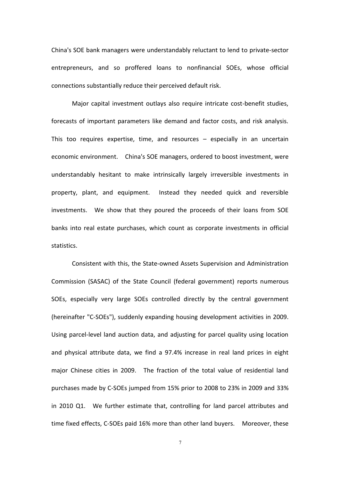China's SOE bank managers were understandably reluctant to lend to private-sector entrepreneurs, and so proffered loans to nonfinancial SOEs, whose official connections substantially reduce their perceived default risk.

Major capital investment outlays also require intricate cost-benefit studies, forecasts of important parameters like demand and factor costs, and risk analysis. This too requires expertise, time, and resources  $-$  especially in an uncertain economic environment. China's SOE managers, ordered to boost investment, were understandably hesitant to make intrinsically largely irreversible investments in property, plant, and equipment. Instead they needed quick and reversible investments. We show that they poured the proceeds of their loans from SOE banks into real estate purchases, which count as corporate investments in official statistics.

Consistent with this, the State-owned Assets Supervision and Administration Commission (SASAC) of the State Council (federal government) reports numerous SOEs, especially very large SOEs controlled directly by the central government (hereinafter "C-SOEs"), suddenly expanding housing development activities in 2009. Using parcel-level land auction data, and adjusting for parcel quality using location and physical attribute data, we find a 97.4% increase in real land prices in eight major Chinese cities in 2009. The fraction of the total value of residential land purchases made by C-SOEs jumped from 15% prior to 2008 to 23% in 2009 and 33% in 2010 Q1. We further estimate that, controlling for land parcel attributes and time fixed effects, C-SOEs paid 16% more than other land buyers. Moreover, these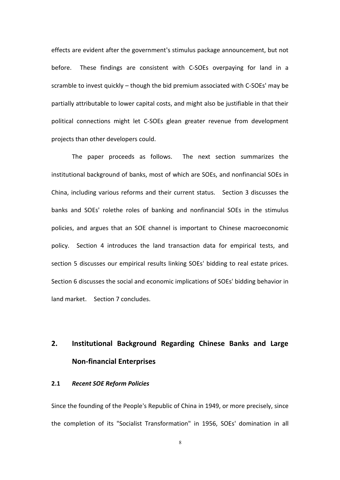effects are evident after the government's stimulus package announcement, but not before. These findings are consistent with C-SOEs overpaying for land in a scramble to invest quickly  $-$  though the bid premium associated with C-SOEs' may be partially attributable to lower capital costs, and might also be justifiable in that their political connections might let C-SOEs glean greater revenue from development projects than other developers could.

The paper proceeds as follows. The next section summarizes the institutional background of banks, most of which are SOEs, and nonfinancial SOEs in China, including various reforms and their current status. Section 3 discusses the banks and SOEs' rolethe roles of banking and nonfinancial SOEs in the stimulus policies, and argues that an SOE channel is important to Chinese macroeconomic policy. Section 4 introduces the land transaction data for empirical tests, and section 5 discusses our empirical results linking SOEs' bidding to real estate prices. Section 6 discusses the social and economic implications of SOEs' bidding behavior in land!market.! ! Section!7 concludes.! !

# 2. **Institutional Background Regarding Chinese Banks and Large Non=financial#Enterprises**

#### **2.1 Recent SOE Reform Policies**

Since the founding of the People's Republic of China in 1949, or more precisely, since the completion of its "Socialist Transformation" in 1956, SOEs' domination in all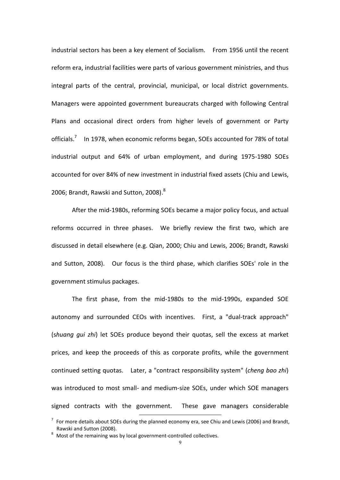industrial!sectors has!been a!key!element!of!Socialism.! ! From!1956!until!the!recent! reform era, industrial facilities were parts of various government ministries, and thus integral parts of the central, provincial, municipal, or local district governments. Managers were appointed government bureaucrats charged with following Central Plans and occasional direct orders from higher levels of government or Party officials.<sup>7</sup> In 1978, when economic reforms began, SOEs accounted for 78% of total industrial output and 64% of urban employment, and during 1975-1980 SOEs accounted for over 84% of new investment in industrial fixed assets (Chiu and Lewis, 2006; Brandt, Rawski and Sutton, 2008). $^8$ 

After the mid-1980s, reforming SOEs became a major policy focus, and actual reforms occurred in three phases. We briefly review the first two, which are discussed in detail elsewhere (e.g. Qian, 2000; Chiu and Lewis, 2006; Brandt, Rawski and Sutton, 2008). Our focus is the third phase, which clarifies SOEs' role in the government stimulus packages.

The first phase, from the mid-1980s to the mid-1990s, expanded SOE autonomy and surrounded CEOs with incentives. First, a "dual-track approach" (shuang qui zhi) let SOEs produce beyond their quotas, sell the excess at market prices, and keep the proceeds of this as corporate profits, while the government continued setting quotas. Later, a "contract responsibility system" (*cheng bao zhi*) was introduced to most small- and medium-size SOEs, under which SOE managers signed contracts with the government. These gave managers considerable

 $17$  For more details about SOEs during the planned economy era, see Chiu and Lewis (2006) and Brandt, Rawski and Sutton (2008). **8 Most incontrolled collectives.** 8 Most of the remaining was by local government-controlled collectives.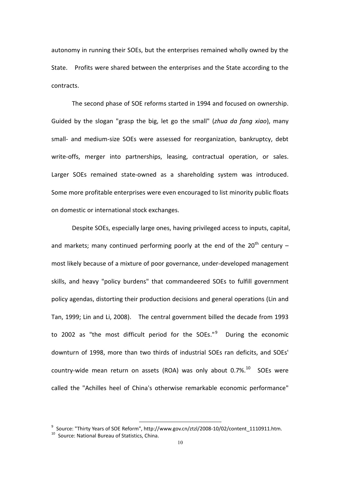autonomy in running their SOEs, but the enterprises remained wholly owned by the State. Profits were shared between the enterprises and the State according to the contracts.

The second phase of SOE reforms started in 1994 and focused on ownership. Guided by the slogan "grasp the big, let go the small" (*zhua da fang xiao*), many small- and medium-size SOEs were assessed for reorganization, bankruptcy, debt write-offs, merger into partnerships, leasing, contractual operation, or sales. Larger SOEs remained state-owned as a shareholding system was introduced. Some more profitable enterprises were even encouraged to list minority public floats on domestic or international stock exchanges.

Despite SOEs, especially large ones, having privileged access to inputs, capital, and markets; many continued performing poorly at the end of the 20<sup>th</sup> century  $$ most likely because of a mixture of poor governance, under-developed management skills, and heavy "policy burdens" that commandeered SOEs to fulfill government policy agendas, distorting their production decisions and general operations (Lin and Tan, 1999; Lin and Li, 2008). The central government billed the decade from 1993 to 2002 as "the most difficult period for the SOEs."<sup>9</sup> During the economic downturn of 1998, more than two thirds of industrial SOEs ran deficits, and SOEs' country-wide mean return on assets (ROA) was only about  $0.7\%$ .<sup>10</sup> SOEs were called the "Achilles heel of China's otherwise remarkable economic performance"

<sup>&</sup>lt;sup>9</sup> Source: "Thirty Years of SOE Reform", http://www.gov.cn/ztzl/2008-10/02/content\_1110911.htm.<br><sup>10</sup> Source: National Bureau of Statistics, China.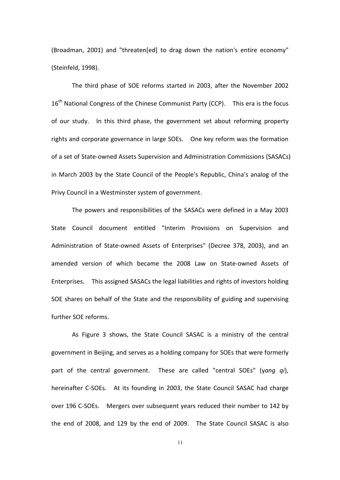(Broadman, 2001) and "threaten[ed] to drag down the nation's entire economy" (Steinfeld, 1998).

The third phase of SOE reforms started in 2003, after the November 2002  $16<sup>th</sup>$  National Congress of the Chinese Communist Party (CCP). This era is the focus of our study. In this third phase, the government set about reforming property rights and corporate governance in large SOEs. One key reform was the formation of a set of State-owned Assets Supervision and Administration Commissions (SASACs) in March 2003 by the State Council of the People's Republic, China's analog of the Privy Council in a Westminster system of government.

The powers and responsibilities of the SASACs were defined in a May 2003 State Council document entitled "Interim Provisions on Supervision and Administration of State-owned Assets of Enterprises" (Decree 378, 2003), and an amended version of which became the 2008 Law on State-owned Assets of Enterprises. This assigned SASACs the legal liabilities and rights of investors holding SOE shares on behalf of the State and the responsibility of guiding and supervising further SOF reforms.

As Figure 3 shows, the State Council SASAC is a ministry of the central government in Beijing, and serves as a holding company for SOEs that were formerly part of the central government. These are called "central SOEs" (yang qi), hereinafter C-SOEs. At its founding in 2003, the State Council SASAC had charge over 196 C-SOEs. Mergers over subsequent years reduced their number to 142 by the end of 2008, and 129 by the end of 2009. The State Council SASAC is also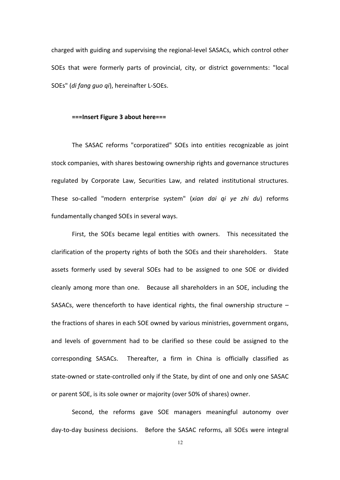charged with guiding and supervising the regional-level SASACs, which control other SOEs that were formerly parts of provincial, city, or district governments: "local SOEs" (*di fang quo qi*), hereinafter L-SOEs.

#### ===Insert Figure 3 about here===

The SASAC reforms "corporatized" SOEs into entities recognizable as joint stock companies, with shares bestowing ownership rights and governance structures regulated by Corporate Law, Securities Law, and related institutional structures. These so-called "modern enterprise system" (*xian dai qi ye zhi du*) reforms fundamentally changed SOEs in several ways.

First, the SOEs became legal entities with owners. This necessitated the clarification of the property rights of both the SOEs and their shareholders. State assets formerly used by several SOEs had to be assigned to one SOE or divided cleanly among more than one. Because all shareholders in an SOE, including the SASACs, were thenceforth to have identical rights, the final ownership structure  $$ the fractions of shares in each SOE owned by various ministries, government organs, and levels of government had to be clarified so these could be assigned to the corresponding SASACs. Thereafter, a firm in China is officially classified as state-owned or state-controlled only if the State, by dint of one and only one SASAC or parent SOE, is its sole owner or majority (over 50% of shares) owner.

Second, the reforms gave SOE managers meaningful autonomy over dayDtoDday business! decisions.! ! Before! the SASAC reforms,! all SOEs! were! integral!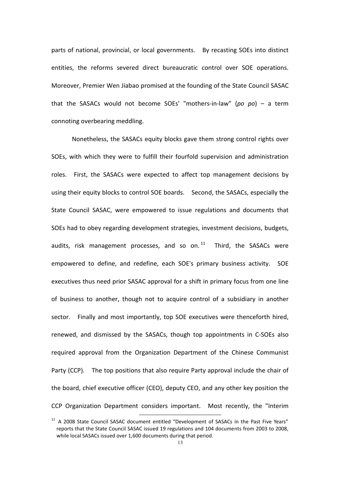parts of national, provincial, or local governments. By recasting SOEs into distinct entities, the reforms severed direct bureaucratic control over SOE operations. Moreover, Premier Wen Jiabao promised at the founding of the State Council SASAC that the SASACs would not become SOEs' "mothers-in-law" (*po po*) – a term connoting overbearing meddling.

Nonetheless, the SASACs equity blocks gave them strong control rights over SOEs, with which they were to fulfill their fourfold supervision and administration roles. First, the SASACs were expected to affect top management decisions by using!their!equity!blocks!to control!SOE boards.! ! Second, the!SASACs,!especially!the! State Council SASAC, were empowered to issue regulations and documents that SOEs had to obey regarding development strategies, investment decisions, budgets, audits, risk management processes, and so on. $11$  Third, the SASACs were empowered to define, and redefine, each SOE's primary business activity. SOE executives thus need prior SASAC approval for a shift in primary focus from one line of business to another, though not to acquire control of a subsidiary in another sector. Finally and most importantly, top SOE executives were thenceforth hired, renewed, and dismissed by the SASACs, though top appointments in C-SOEs also required approval from the Organization Department of the Chinese Communist Party (CCP). The top positions that also require Party approval include the chair of the board, chief executive officer (CEO), deputy CEO, and any other key position the CCP Organization Department considers important. Most recently, the "Interim

 $11$  A 2008 State Council SASAC document entitled "Development of SASACs in the Past Five Years" reports that the State Council SASAC issued 19 regulations and 104 documents from 2003 to 2008, while local SASACs issued over 1,600 documents during that period.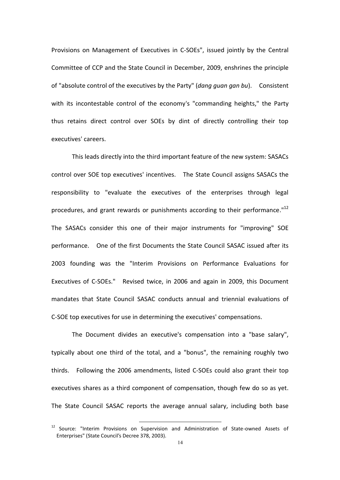Provisions on Management of Executives in C-SOEs", issued jointly by the Central Committee of CCP and the State Council in December, 2009, enshrines the principle of "absolute control of the executives by the Party" (*dang guan gan bu*). Consistent with its incontestable control of the economy's "commanding heights," the Party thus retains direct control over SOEs by dint of directly controlling their top executives' careers.

This leads directly into the third important feature of the new system: SASACs control!over!SOE!top!executives' incentives.! ! The!State!Council assigns!SASACs!the! responsibility to "evaluate the executives of the enterprises through legal procedures, and grant rewards or punishments according to their performance." $^{12}$ The SASACs consider this one of their major instruments for "improving" SOE performance.! ! One!of!the!first!Documents!the State!Council!SASAC!issued!after!its! 2003 founding was the "Interim Provisions on Performance Evaluations for Executives of C-SOEs." Revised twice, in 2006 and again in 2009, this Document mandates that State Council SASAC conducts annual and triennial evaluations of C-SOE top executives for use in determining the executives' compensations.

The Document divides an executive's compensation into a "base salary". typically about one third of the total, and a "bonus", the remaining roughly two thirds. Following the 2006 amendments, listed C-SOEs could also grant their top executives shares as a third component of compensation, though few do so as yet. The State Council SASAC reports the average annual salary, including both base

 $12$  Source: "Interim Provisions on Supervision and Administration of State-owned Assets of Enterprises" (State Council's Decree 378, 2003).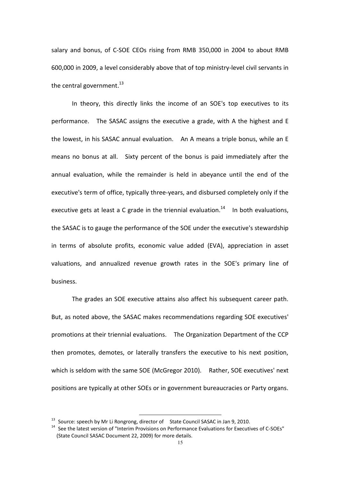salary and bonus, of C-SOE CEOs rising from RMB 350,000 in 2004 to about RMB 600,000 in 2009, a level considerably above that of top ministry-level civil servants in the central government. $^{13}$ 

In theory, this directly links the income of an SOE's top executives to its performance. The SASAC assigns the executive a grade, with A the highest and E the!lowest, in!his!SASAC!annual!evaluation.! ! An!A!means a!triple!bonus,!while!an!E means no bonus at all. Sixty percent of the bonus is paid immediately after the annual evaluation, while the remainder is held in abeyance until the end of the executive's term of office, typically three-years, and disbursed completely only if the executive gets at least a C grade in the triennial evaluation. $14$  In both evaluations, the SASAC is to gauge the performance of the SOE under the executive's stewardship in terms of absolute profits, economic value added (EVA), appreciation in asset valuations, and annualized revenue growth rates in the SOE's primary line of business.!

The grades an SOE executive attains also affect his subsequent career path. But, as noted above, the SASAC makes recommendations regarding SOE executives' promotions!at!their!triennial!evaluations.! ! The!Organization!Department!of!the!CCP! then promotes, demotes, or laterally transfers the executive to his next position, which is seldom with the same SOE (McGregor 2010). Rather, SOE executives' next positions are typically at other SOEs or in government bureaucracies or Party organs.

<sup>&</sup>lt;sup>13</sup> Source: speech by Mr Li Rongrong, director of State Council SASAC in Jan 9, 2010.<br><sup>14</sup> See the latest version of "Interim Provisions on Performance Evaluations for Executives of C-SOEs" (State Council SASAC Document 22, 2009) for more details.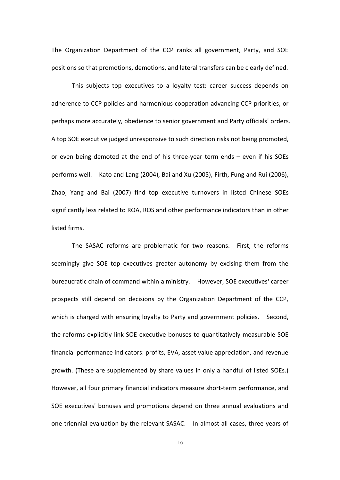The Organization Department of the CCP ranks all government, Party, and SOE positions so that promotions, demotions, and lateral transfers can be clearly defined.

This subjects top executives to a loyalty test: career success depends on adherence to CCP policies and harmonious cooperation advancing CCP priorities, or perhaps more accurately, obedience to senior government and Party officials' orders. A top SOE executive judged unresponsive to such direction risks not being promoted, or even being demoted at the end of his three-year term ends – even if his SOEs performs well. Kato and Lang (2004), Bai and Xu (2005), Firth, Fung and Rui (2006), Zhao, Yang and Bai (2007) find top executive turnovers in listed Chinese SOEs significantly less related to ROA, ROS and other performance indicators than in other listed firms.

The SASAC reforms are problematic for two reasons. First, the reforms seemingly give SOE top executives greater autonomy by excising them from the bureaucratic chain of command within a ministry. However, SOE executives' career prospects still depend on decisions by the Organization Department of the CCP, which is charged with ensuring loyalty to Party and government policies. Second, the reforms explicitly link SOE executive bonuses to quantitatively measurable SOE financial performance indicators: profits, EVA, asset value appreciation, and revenue growth. (These are supplemented by share values in only a handful of listed SOEs.) However, all four primary financial indicators measure short-term performance, and SOE executives' bonuses and promotions depend on three annual evaluations and one triennial evaluation by the relevant SASAC. In almost all cases, three years of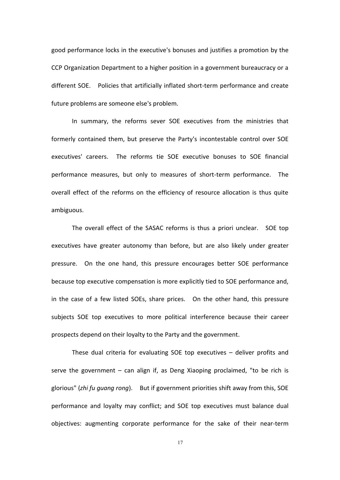good performance locks in the executive's bonuses and justifies a promotion by the CCP Organization Department to a higher position in a government bureaucracy or a different SOE. Policies that artificially inflated short-term performance and create future problems are someone else's problem.

In summary, the reforms sever SOE executives from the ministries that formerly contained them, but preserve the Party's incontestable control over SOE executives' careers. The reforms tie SOE executive bonuses to SOE financial performance measures, but only to measures of short-term performance. The overall effect of the reforms on the efficiency of resource allocation is thus quite ambiguous.

The overall effect of the SASAC reforms is thus a priori unclear. SOE top executives have greater autonomy than before, but are also likely under greater pressure. On the one hand, this pressure encourages better SOE performance because top executive compensation is more explicitly tied to SOE performance and, in the case of a few listed SOEs, share prices. On the other hand, this pressure subjects SOE top executives to more political interference because their career prospects depend on their loyalty to the Party and the government.

These dual criteria for evaluating SOE top executives  $-$  deliver profits and serve the government  $-$  can align if, as Deng Xiaoping proclaimed, "to be rich is glorious" (*zhi fu guang rong*). But if government priorities shift away from this, SOE performance and loyalty may conflict; and SOE top executives must balance dual objectives: augmenting corporate performance for the sake of their near-term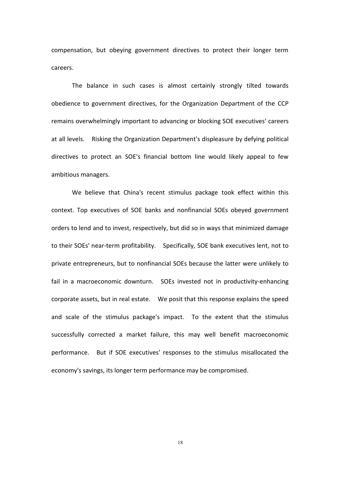compensation, but obeying government directives to protect their longer term careers.

The balance in such cases is almost certainly strongly tilted towards obedience to government directives, for the Organization Department of the CCP remains overwhelmingly important to advancing or blocking SOE executives' careers at all levels. Risking the Organization Department's displeasure by defying political directives to protect an SOE's financial bottom line would likely appeal to few ambitious managers.

We believe that China's recent stimulus package took effect within this context. Top executives of SOE banks and nonfinancial SOEs obeyed government orders to lend and to invest, respectively, but did so in ways that minimized damage to their SOEs' near-term profitability. Specifically, SOE bank executives lent, not to private entrepreneurs, but to nonfinancial SOEs because the latter were unlikely to fail in a macroeconomic downturn. SOEs invested not in productivity-enhancing corporate assets, but in real estate. We posit that this response explains the speed and scale of the stimulus package's impact. To the extent that the stimulus successfully corrected a market failure, this may well benefit macroeconomic performance.! ! But! if! SOE! executives' responses! to! the! stimulus! misallocated! the! economy's savings, its longer term performance may be compromised.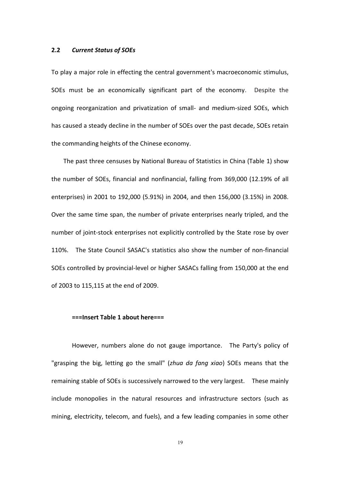#### **2.2 Current Status of SOEs**

To play a major role in effecting the central government's macroeconomic stimulus, SOEs must be an economically significant part of the economy. Despite the ongoing reorganization and privatization of small- and medium-sized SOEs, which has caused a steady decline in the number of SOEs over the past decade, SOEs retain the commanding heights of the Chinese economy.

The past three censuses by National Bureau of Statistics in China (Table 1) show the number of SOEs, financial and nonfinancial, falling from 369,000 (12.19% of all enterprises) in 2001 to 192,000 (5.91%) in 2004, and then 156,000 (3.15%) in 2008. Over the same time span, the number of private enterprises nearly tripled, and the number of joint-stock enterprises not explicitly controlled by the State rose by over 110%. The State Council SASAC's statistics also show the number of non-financial SOEs controlled by provincial-level or higher SASACs falling from 150,000 at the end of 2003 to 115,115 at the end of 2009.

#### $==$ **Insert Table 1 about here===**

However, numbers alone do not gauge importance. The Party's policy of "grasping the big, letting go the small" (*zhua da fang xiao*) SOEs means that the remaining!stable!of SOEs!is!successively!narrowed!to!the!very!largest.! ! These!mainly! include monopolies in the natural resources and infrastructure sectors (such as mining, electricity, telecom, and fuels), and a few leading companies in some other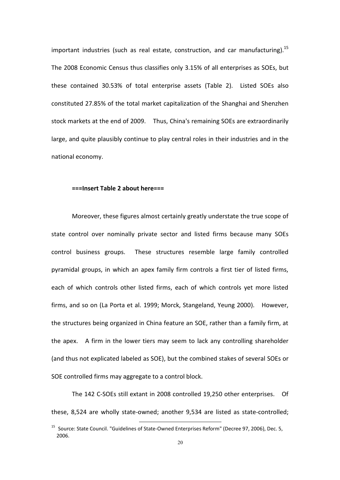important industries (such as real estate, construction, and car manufacturing).<sup>15</sup> The 2008 Economic Census thus classifies only 3.15% of all enterprises as SOEs, but these contained 30.53% of total enterprise assets (Table 2). Listed SOEs also constituted 27.85% of the total market capitalization of the Shanghai and Shenzhen stock markets at the end of 2009. Thus, China's remaining SOEs are extraordinarily large, and quite plausibly continue to play central roles in their industries and in the national economy.

#### $==$ **Insert Table 2 about here===**

Moreover, these figures almost certainly greatly understate the true scope of state control over nominally private sector and listed firms because many SOEs control business groups. These structures resemble large family controlled pyramidal groups, in which an apex family firm controls a first tier of listed firms, each of which controls other listed firms, each of which controls yet more listed firms, and so on (La Porta et al. 1999; Morck, Stangeland, Yeung 2000). However, the structures being organized in China feature an SOE, rather than a family firm, at the apex. A firm in the lower tiers may seem to lack any controlling shareholder (and thus not explicated labeled as SOE), but the combined stakes of several SOEs or SOE controlled firms may aggregate to a control block.

The 142 C-SOEs still extant in 2008 controlled 19,250 other enterprises. Of these, 8,524 are wholly state-owned; another 9,534 are listed as state-controlled;

<sup>&</sup>lt;sup>15</sup> Source: State Council. "Guidelines of State-Owned Enterprises Reform" (Decree 97, 2006), Dec. 5, 2006.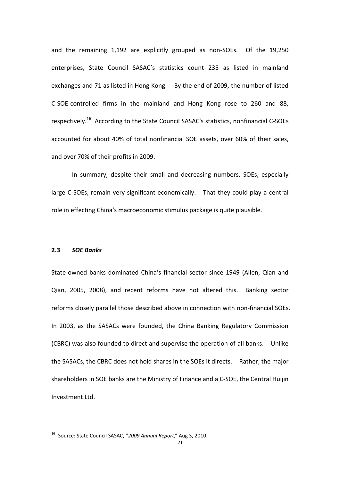and the remaining 1,192 are explicitly grouped as non-SOEs. Of the 19,250 enterprises, State Council SASAC's statistics count 235 as listed in mainland exchanges and 71 as listed in Hong Kong. By the end of 2009, the number of listed C-SOE-controlled firms in the mainland and Hong Kong rose to 260 and 88, respectively.<sup>16</sup> According to the State Council SASAC's statistics, nonfinancial C-SOEs accounted for about 40% of total nonfinancial SOE assets, over 60% of their sales, and over 70% of their profits in 2009.

In summary, despite their small and decreasing numbers, SOEs, especially large C-SOEs, remain very significant economically. That they could play a central role in effecting China's macroeconomic stimulus package is quite plausible.

#### **2.3** *SOE!Banks*

State-owned banks dominated China's financial sector since 1949 (Allen, Qian and Qian, 2005, 2008), and recent reforms have not altered this. Banking sector reforms closely parallel those described above in connection with non-financial SOEs. In 2003, as the SASACs were founded, the China Banking Regulatory Commission (CBRC) was also founded to direct and supervise the operation of all banks. Unlike the!SASACs,!the!CBRC does!not!hold!shares!in!the!SOEs!it!directs.! ! Rather, the!major! shareholders in SOE banks are the Ministry of Finance and a C-SOE, the Central Huijin Investment Ltd.

<sup>&</sup>lt;sup>16</sup> Source: State Council SASAC, "2009 Annual Report," Aug 3, 2010.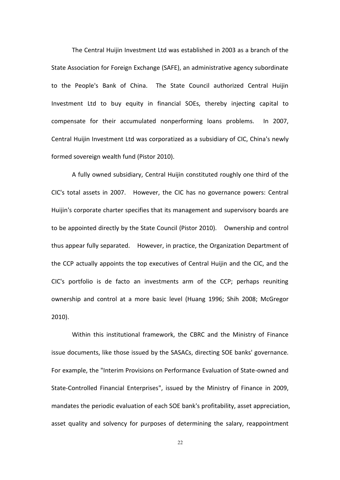The Central Huijin Investment Ltd was established in 2003 as a branch of the State Association for Foreign Exchange (SAFE), an administrative agency subordinate to the People's Bank of China. The State Council authorized Central Huijin Investment Ltd to buy equity in financial SOEs, thereby injecting capital to compensate for their accumulated nonperforming loans problems. In 2007, Central Huijin Investment Ltd was corporatized as a subsidiary of CIC, China's newly formed sovereign wealth fund (Pistor 2010).

A fully owned subsidiary, Central Huijin constituted roughly one third of the CIC's total assets in 2007. However, the CIC has no governance powers: Central Huijin's corporate charter specifies that its management and supervisory boards are to be appointed directly by the State Council (Pistor 2010). Ownership and control thus appear fully separated. However, in practice, the Organization Department of the CCP actually appoints the top executives of Central Huijin and the CIC, and the CIC's portfolio is de facto an investments arm of the CCP; perhaps reuniting ownership and control at a more basic level (Huang 1996; Shih 2008; McGregor  $2010$ ).

Within this institutional framework, the CBRC and the Ministry of Finance issue documents, like those issued by the SASACs, directing SOE banks' governance. For example, the "Interim Provisions on Performance Evaluation of State-owned and State-Controlled Financial Enterprises", issued by the Ministry of Finance in 2009, mandates the periodic evaluation of each SOE bank's profitability, asset appreciation, asset quality and solvency for purposes of determining the salary, reappointment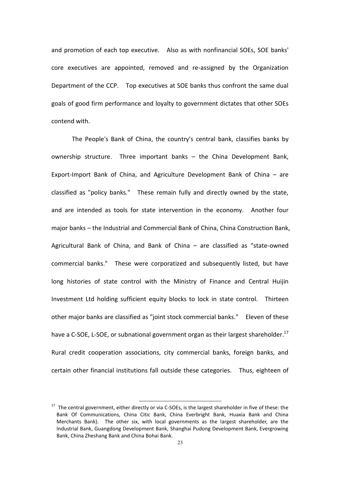and!promotion of!each! top!executive.! ! Also!as!with!nonfinancial!SOEs,!SOE banks' core executives are appointed, removed and re-assigned by the Organization Department of the CCP. Top executives at SOE banks thus confront the same dual goals of good firm performance and loyalty to government dictates that other SOEs contend with.

The People's Bank of China, the country's central bank, classifies banks by ownership structure. Three important banks  $-$  the China Development Bank, Export-Import Bank of China, and Agriculture Development Bank of China  $-$  are classified as "policy banks." These remain fully and directly owned by the state, and are intended as tools for state intervention in the economy. Another four major banks - the Industrial and Commercial Bank of China, China Construction Bank, Agricultural Bank of China, and Bank of China  $-$  are classified as "state-owned commercial banks." These were corporatized and subsequently listed, but have long histories of state control with the Ministry of Finance and Central Huijin Investment Ltd holding sufficient equity blocks to lock in state control. Thirteen other!major!banks!are!classified!as!"joint!stock!commercial!banks."! ! Eleven!of!these! have a C-SOE, L-SOE, or subnational government organ as their largest shareholder.<sup>17</sup> Rural credit cooperation associations, city commercial banks, foreign banks, and certain other financial institutions fall outside these categories. Thus, eighteen of

 $17$  The central government, either directly or via C-SOEs, is the largest shareholder in five of these: the Bank Of Communications, China Citic Bank, China Everbright Bank, Huaxia Bank and China Merchants Bank). The other six, with local governments as the largest shareholder, are the Industrial Bank, Guangdong Development Bank, Shanghai Pudong Development Bank, Evergrowing Bank, China Zheshang Bank and China Bohai Bank.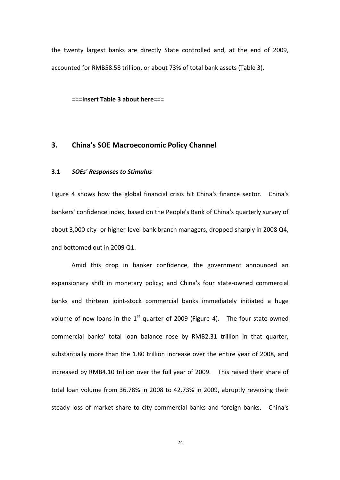the twenty largest banks are directly State controlled and, at the end of 2009, accounted for RMB58.58 trillion, or about 73% of total bank assets (Table 3).

 $==$ **Insert Table 3 about here===** 

## **3.** China's SOE Macroeconomic Policy Channel

## **3.1** *SOEs' Responses to!Stimulus*

Figure 4 shows how the global financial crisis hit China's finance sector. China's bankers' confidence index, based on the People's Bank of China's quarterly survey of about 3,000 city- or higher-level bank branch managers, dropped sharply in 2008 Q4, and bottomed out in 2009 O1.

Amid this drop in banker confidence, the government announced an expansionary shift in monetary policy; and China's four state-owned commercial banks and thirteen joint-stock commercial banks immediately initiated a huge volume of new loans in the  $1<sup>st</sup>$  quarter of 2009 (Figure 4). The four state-owned commercial banks' total loan balance rose by RMB2.31 trillion in that quarter, substantially more than the 1.80 trillion increase over the entire year of 2008, and increased by RMB4.10 trillion over the full year of 2009. This raised their share of total loan volume from 36.78% in 2008 to 42.73% in 2009, abruptly reversing their steady loss of market share to city commercial banks and foreign banks. China's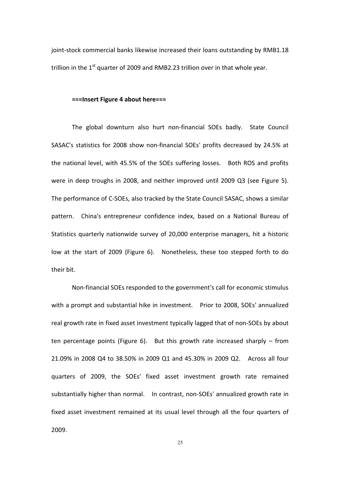joint-stock commercial banks likewise increased their loans outstanding by RMB1.18 trillion in the  $1<sup>st</sup>$  quarter of 2009 and RMB2.23 trillion over in that whole year.

#### ===Insert Figure 4 about here===

The global downturn also hurt non-financial SOEs badly. State Council SASAC's statistics for 2008 show non-financial SOEs' profits decreased by 24.5% at the national level, with 45.5% of the SOEs suffering losses. Both ROS and profits were in deep troughs in 2008, and neither improved until 2009 Q3 (see Figure 5). The performance of C-SOEs, also tracked by the State Council SASAC, shows a similar pattern. China's entrepreneur confidence index, based on a National Bureau of Statistics quarterly nationwide survey of 20,000 enterprise managers, hit a historic low at the start of 2009 (Figure 6). Nonetheless, these too stepped forth to do their bit.

Non-financial SOEs responded to the government's call for economic stimulus with!a!prompt!and!substantial!hike!in!investment.! ! Prior!to!2008, SOEs' annualized! real growth rate in fixed asset investment typically lagged that of non-SOEs by about ten percentage points (Figure 6). But this growth rate increased sharply  $-$  from 21.09%!in!2008!Q4! to!38.50%!in!2009!Q1!and!45.30%!in!2009!Q2.! ! Across all! four! quarters of 2009, the SOEs' fixed asset investment growth rate remained substantially higher!than!normal.! ! In!contrast,!nonDSOEs' annualized!growth!rate!in fixed asset investment remained at its usual level through all the four quarters of 2009.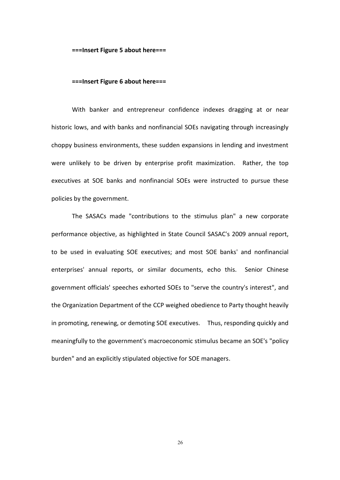**===Insert Figure 5 about here===** 

#### ===Insert Figure 6 about here===

With banker and entrepreneur confidence indexes dragging at or near historic lows, and with banks and nonfinancial SOEs navigating through increasingly choppy business environments, these sudden expansions in lending and investment were unlikely to be driven by enterprise profit maximization. Rather, the top executives at SOE banks and nonfinancial SOEs were instructed to pursue these policies by the government.

The SASACs made "contributions to the stimulus plan" a new corporate performance objective, as highlighted in State Council SASAC's 2009 annual report, to be used in evaluating SOE executives; and most SOE banks' and nonfinancial enterprises' annual reports, or similar documents, echo this. Senior Chinese government officials' speeches exhorted SOEs to "serve the country's interest", and the Organization Department of the CCP weighed obedience to Party thought heavily in promoting, renewing, or demoting SOE executives. Thus, responding quickly and meaningfully to the government's macroeconomic stimulus became an SOE's "policy" burden" and an explicitly stipulated objective for SOE managers.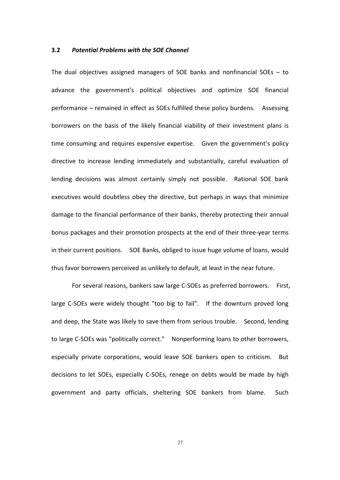#### **3.2** Potential Problems with the SOE Channel

The dual objectives assigned managers of SOE banks and nonfinancial SOEs  $-$  to advance the government's political objectives and optimize SOE financial performance – remained in effect as SOEs fulfilled these policy burdens. Assessing borrowers on the basis of the likely financial viability of their investment plans is time consuming and requires expensive expertise. Given the government's policy directive to increase lending immediately and substantially, careful evaluation of lending decisions was almost certainly simply not possible. Rational SOE bank executives would doubtless obey the directive, but perhaps in ways that minimize damage to the financial performance of their banks, thereby protecting their annual bonus packages and their promotion prospects at the end of their three-year terms in their current positions. SOE Banks, obliged to issue huge volume of loans, would thus favor borrowers perceived as unlikely to default, at least in the near future.

For several reasons, bankers saw large C-SOEs as preferred borrowers. First, large C-SOEs were widely thought "too big to fail". If the downturn proved long and deep, the State was likely to save them from serious trouble. Second, lending to!large!CDSOEs!was "politically!correct."! ! Nonperforming!loans!to!other!borrowers,! especially private corporations, would leave SOE bankers open to criticism. But decisions to let SOEs, especially C-SOEs, renege on debts would be made by high government and party officials, sheltering SOE bankers from blame. Such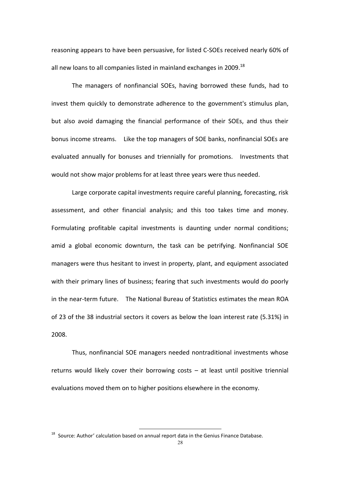reasoning appears to have been persuasive, for listed C-SOEs received nearly 60% of all new loans to all companies listed in mainland exchanges in 2009. $^{18}$ 

The managers of nonfinancial SOEs, having borrowed these funds, had to invest them quickly to demonstrate adherence to the government's stimulus plan, but also avoid damaging the financial performance of their SOEs, and thus their bonus income streams. Like the top managers of SOE banks, nonfinancial SOEs are evaluated annually for bonuses and triennially for promotions. Investments that would not show major problems for at least three years were thus needed.

Large corporate capital investments require careful planning, forecasting, risk assessment, and other financial analysis; and this too takes time and money. Formulating profitable capital investments is daunting under normal conditions; amid a global economic downturn, the task can be petrifying. Nonfinancial SOE managers were thus hesitant to invest in property, plant, and equipment associated with their primary lines of business; fearing that such investments would do poorly in!the!nearDterm!future.! ! The National!Bureau!of!Statistics estimates the!mean!ROA! of 23 of the 38 industrial sectors it covers as below the loan interest rate (5.31%) in 2008

Thus, nonfinancial SOE managers needed nontraditional investments whose returns would likely cover their borrowing costs  $-$  at least until positive triennial evaluations moved them on to higher positions elsewhere in the economy.

 $18$  Source: Author' calculation based on annual report data in the Genius Finance Database.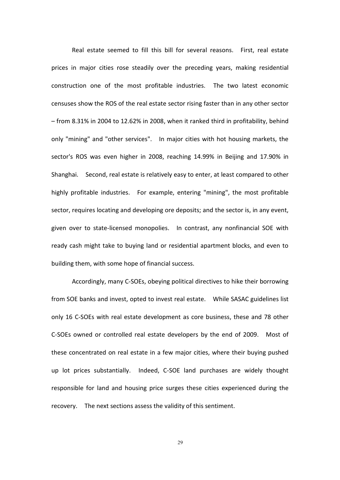Real estate seemed to fill this bill for several reasons. First, real estate prices in major cities rose steadily over the preceding years, making residential construction one of the most profitable industries. The two latest economic censuses show the ROS of the real estate sector rising faster than in any other sector - from 8.31% in 2004 to 12.62% in 2008, when it ranked third in profitability, behind only "mining" and "other services". In major cities with hot housing markets, the sector's ROS was even higher in 2008, reaching 14.99% in Beijing and 17.90% in Shanghai.! ! Second,!real!estate is!relatively easy to!enter,!at!least compared!to other! highly profitable industries. IF example, entering "mining", the most profitable sector, requires locating and developing ore deposits; and the sector is, in any event, given over to state-licensed monopolies. In contrast, any nonfinancial SOE with ready cash might take to buying land or residential apartment blocks, and even to building them, with some hope of financial success.

Accordingly, many C-SOEs, obeying political directives to hike their borrowing from!SOE!banks and!invest,!opted to!invest real!estate.! ! While!SASAC!guidelines list! only 16 C-SOEs with real estate development as core business, these and 78 other C-SOEs owned or controlled real estate developers by the end of 2009. Most of these concentrated on real estate in a few major cities, where their buying pushed up lot prices substantially. Indeed, C-SOE land purchases are widely thought responsible for land and housing price surges these cities experienced during the recovery. The next sections assess the validity of this sentiment.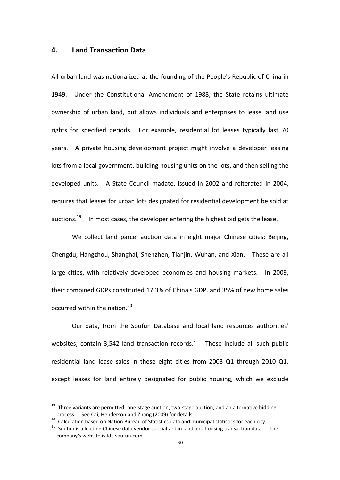## **4.# Land#Transaction#Data**

All urban land was nationalized at the founding of the People's Republic of China in 1949. Under the Constitutional Amendment of 1988, the State retains ultimate ownership of urban land, but allows individuals and enterprises to lease land use rights for! specified! periods.! ! For! example,! residential! lot! leases! typically! last! 70! years. A private housing development project might involve a developer leasing lots from a local government, building housing units on the lots, and then selling the developed units. A State Council madate, issued in 2002 and reiterated in 2004, requires that leases for urban lots designated for residential development be sold at auctions.<sup>19</sup> In most cases, the developer entering the highest bid gets the lease.

We collect land parcel auction data in eight major Chinese cities: Beijing, Chengdu, Hangzhou, Shanghai, Shenzhen, Tianjin, Wuhan, and Xian. These are all large cities, with relatively developed economies and housing markets. In 2009, their combined GDPs constituted 17.3% of China's GDP, and 35% of new home sales occurred within the nation. $^{20}$ 

Our data, from the Soufun Database and local land resources authorities' websites, contain 3,542 land transaction records.<sup>21</sup> These include all such public residential land lease sales in these eight cities from 2003 Q1 through 2010 Q1, except leases for land entirely designated for public housing, which we exclude

<sup>&</sup>lt;sup>19</sup> Three variants are permitted: one-stage auction, two-stage auction, and an alternative bidding process. See Cai, Henderson and Zhang (2009) for details.

<sup>&</sup>lt;sup>20</sup> Calculation based on Nation Bureau of Statistics data and municipal statistics for each city.<br><sup>21</sup> Soufun is a leading Chinese data vendor specialized in land and housing transaction data. The company's website is fdc.soufun.com.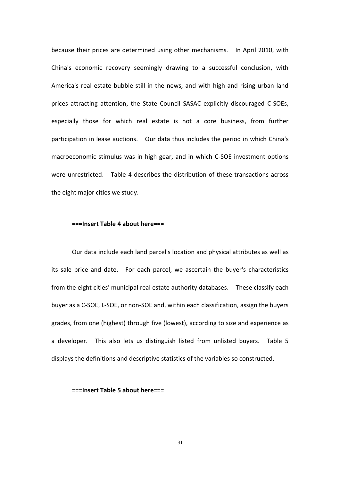because their prices are determined using other mechanisms. In April 2010, with China's economic recovery seemingly drawing to a successful conclusion, with America's real estate bubble still in the news, and with high and rising urban land prices attracting attention, the State Council SASAC explicitly discouraged C-SOEs, especially those for which real estate is not a core business, from further participation in lease auctions. Dur data thus includes the period in which China's macroeconomic stimulus was in high gear, and in which C-SOE investment options were unrestricted. Table 4 describes the distribution of these transactions across the eight major cities we study.

#### $==$ **Insert Table 4 about here===**

Our data include each land parcel's location and physical attributes as well as its sale price and date. For each parcel, we ascertain the buyer's characteristics from the eight cities' municipal real estate authority databases. These classify each buyer as a C-SOE, L-SOE, or non-SOE and, within each classification, assign the buyers grades, from one (highest) through five (lowest), according to size and experience as a developer. This also lets us distinguish listed from unlisted buyers. Table 5 displays the definitions and descriptive statistics of the variables so constructed.

#### ===Insert Table 5 about here===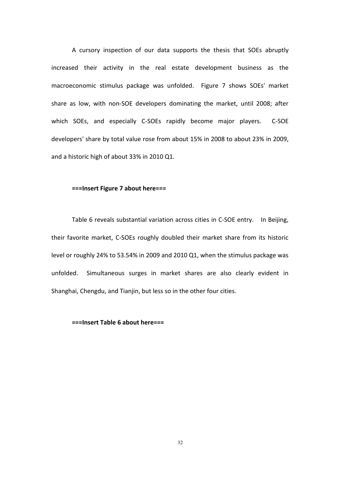A cursory inspection of our data supports the thesis that SOEs abruptly increased their activity in the real estate development business as the macroeconomic stimulus package was unfolded. Figure 7 shows SOEs' market share as low, with non-SOE developers dominating the market, until 2008; after which SOEs, and especially C-SOEs rapidly become major players. C-SOE developers' share by total value rose from about 15% in 2008 to about 23% in 2009, and a historic high of about 33% in 2010 Q1.

#### ===Insert Figure 7 about here===

Table 6 reveals substantial variation across cities in C-SOE entry. In Beijing, their favorite market, C-SOEs roughly doubled their market share from its historic level or roughly 24% to 53.54% in 2009 and 2010 Q1, when the stimulus package was unfolded. Simultaneous surges in market shares are also clearly evident in Shanghai, Chengdu, and Tianjin, but less so in the other four cities.

#### **===Insert#Table#6 about#here===**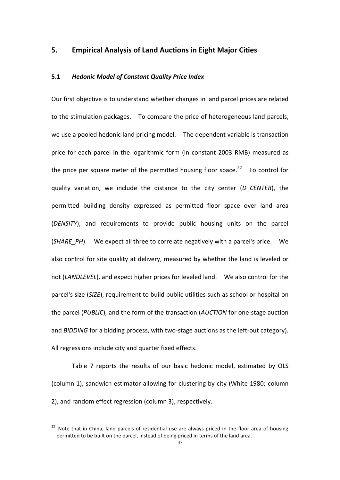## **5. • Empirical Analysis of Land Auctions in Eight Major Cities**

#### 5.1 Hedonic Model of Constant Quality Price Index

Our first objective is to understand whether changes in land parcel prices are related to!the!stimulation!packages.! ! To!compare!the!price!of!heterogeneous!land!parcels,! we use a pooled hedonic land pricing model. The dependent variable is transaction price for each parcel in the logarithmic form (in constant 2003 RMB) measured as the price per square meter of the permitted housing floor space.<sup>22</sup> To control for quality variation, we include the distance to the city center (*D\_CENTER*), the permitted building density expressed as permitted floor space over land area (*DENSITY*), and requirements to provide public housing units on the parcel (*SHARE PH*). We expect all three to correlate negatively with a parcel's price. We also control for site quality at delivery, measured by whether the land is leveled or not (*LANDLEVEL*),!and expect!higher!prices!for!leveled!land.! ! We!also!control!for!the! parcel's size (*SIZE*), requirement to build public utilities such as school or hospital on the parcel (PUBLIC), and the form of the transaction (*AUCTION* for one-stage auction and *BIDDING* for a bidding process, with two-stage auctions as the left-out category). All regressions include city and quarter fixed effects.

Table 7 reports the results of our basic hedonic model, estimated by OLS (column 1), sandwich estimator allowing for clustering by city (White 1980; column 2), and random effect regression (column 3), respectively.

 $22$  Note that in China, land parcels of residential use are always priced in the floor area of housing permitted to be built on the parcel, instead of being priced in terms of the land area.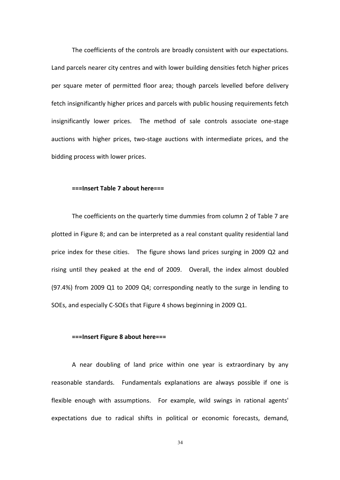The coefficients of the controls are broadly consistent with our expectations. Land parcels nearer city centres and with lower building densities fetch higher prices per square meter of permitted floor area; though parcels levelled before delivery fetch insignificantly higher prices and parcels with public housing requirements fetch insignificantly lower prices. The method of sale controls associate one-stage auctions with higher prices, two-stage auctions with intermediate prices, and the bidding process with lower prices.

#### ===Insert Table 7 about here===

The coefficients on the quarterly time dummies from column 2 of Table 7 are plotted in Figure 8; and can be interpreted as a real constant quality residential land price index for these cities. The figure shows land prices surging in 2009 Q2 and rising until they peaked at the end of 2009. Overall, the index almost doubled  $(97.4%)$  from 2009 Q1 to 2009 Q4; corresponding neatly to the surge in lending to SOEs, and especially C-SOEs that Figure 4 shows beginning in 2009 Q1.

#### **===Insert#Figure#8 about#here===**

A near doubling of land price within one year is extraordinary by any reasonable standards. I Fundamentals explanations are always possible if one is flexible enough with assumptions. For example, wild swings in rational agents' expectations due to radical shifts in political or economic forecasts, demand,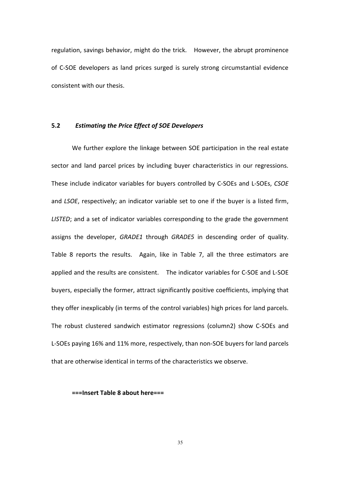regulation, savings behavior, might do the trick. However, the abrupt prominence of C-SOE developers as land prices surged is surely strong circumstantial evidence consistent with our thesis.

#### 5.2 *Estimating the Price Effect of SOE Developers*

We further explore the linkage between SOE participation in the real estate sector and land parcel prices by including buyer characteristics in our regressions. These include indicator variables for buyers controlled by C-SOEs and L-SOEs, *CSOE* and *LSOE*, respectively; an indicator variable set to one if the buyer is a listed firm, LISTED; and a set of indicator variables corresponding to the grade the government assigns the developer, *GRADE1* through *GRADE5* in descending order of quality. Table 8 reports the results. Again, like in Table 7, all the three estimators are applied!and!the!results!are!consistent.! ! The!indicator!variables!for CDSOE and!LDSOE! buyers, especially the former, attract significantly positive coefficients, implying that they offer inexplicably (in terms of the control variables) high prices for land parcels. The robust clustered sandwich estimator regressions (column2) show C-SOEs and L-SOEs paying 16% and 11% more, respectively, than non-SOE buyers for land parcels that are otherwise identical in terms of the characteristics we observe.

#### **===Insert Table 8 about here===**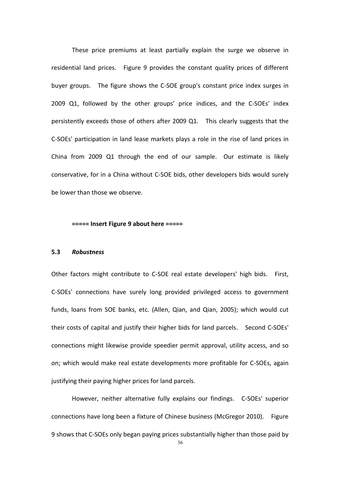These price premiums at least partially explain the surge we observe in residential land prices. Figure 9 provides the constant quality prices of different buyer groups. The figure shows the C-SOE group's constant price index surges in 2009 Q1, followed by the other groups' price indices, and the C-SOEs' index persistently exceeds those of others after 2009 Q1. This clearly suggests that the C-SOEs' participation in land lease markets plays a role in the rise of land prices in China from 2009  $Q1$  through the end of our sample. Our estimate is likely conservative, for in a China without C-SOE bids, other developers bids would surely be lower than those we observe.

#### **===== Insert Figure 9 about here =====**

#### **5.3** *Robustness*

Other factors might contribute to C-SOE real estate developers' high bids. First, C-SOEs' connections have surely long provided privileged access to government funds, loans from SOE banks, etc. (Allen, Qian, and Qian, 2005); which would cut their costs of capital and justify their higher bids for land parcels. Second C-SOEs' connections might likewise provide speedier permit approval, utility access, and so on; which would make real estate developments more profitable for C-SOEs, again justifying their paying higher prices for land parcels.

However, neither alternative fully explains our findings. C-SOEs' superior connections have long been a fixture of Chinese business (McGregor 2010). Figure 9 shows that C-SOEs only began paying prices substantially higher than those paid by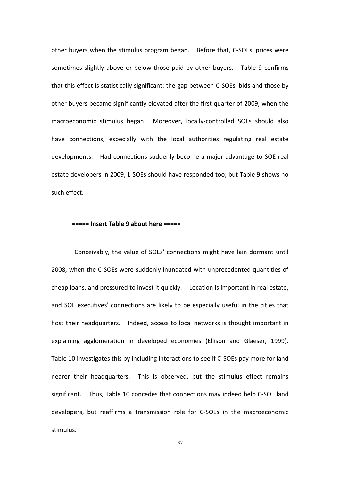other buyers when the stimulus program began. Before that, C-SOEs' prices were sometimes slightly above or below those paid by other buyers. Table 9 confirms that this effect is statistically significant: the gap between C-SOEs' bids and those by other buyers became significantly elevated after the first quarter of 2009, when the macroeconomic stimulus began. Moreover, locally-controlled SOEs should also have connections, especially with the local authorities regulating real estate developments. Had connections suddenly become a major advantage to SOE real estate developers in 2009, L-SOEs should have responded too; but Table 9 shows no such effect.

#### **===== Insert Table 9 about here =====**

Conceivably, the value of SOEs' connections might have lain dormant until 2008, when the C-SOEs were suddenly inundated with unprecedented quantities of cheap loans, and pressured to invest it quickly. Location is important in real estate, and SOE executives' connections are likely to be especially useful in the cities that host their headquarters. Indeed, access to local networks is thought important in explaining agglomeration in developed economies (Ellison and Glaeser, 1999). Table 10 investigates this by including interactions to see if C-SOEs pay more for land nearer their headquarters. This is observed, but the stimulus effect remains significant. Thus, Table 10 concedes that connections may indeed help C-SOE land developers, but reaffirms a transmission role for C-SOEs in the macroeconomic stimulus.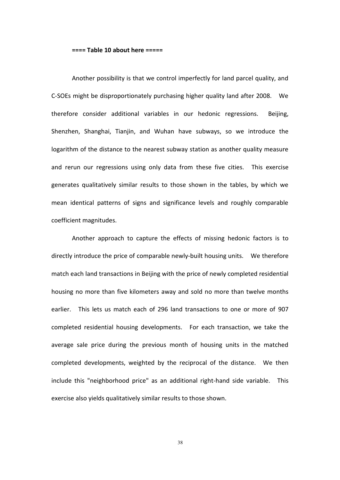#### ===== Table 10 about here =====

Another possibility is that we control imperfectly for land parcel quality, and C-SOEs might be disproportionately purchasing higher quality land after 2008. We therefore consider additional variables in our hedonic regressions. Beijing, Shenzhen, Shanghai, Tianjin, and Wuhan have subways, so we introduce the logarithm of the distance to the nearest subway station as another quality measure and rerun our regressions using only data from these five cities. This exercise generates qualitatively similar results to those shown in the tables, by which we mean identical patterns of signs and significance levels and roughly comparable coefficient magnitudes.

Another approach to capture the effects of missing hedonic factors is to directly introduce the price of comparable newly-built housing units. We therefore match each land transactions in Beijing with the price of newly completed residential housing no more than five kilometers away and sold no more than twelve months earlier. This lets us match each of 296 land transactions to one or more of 907 completed residential housing developments. For each transaction, we take the average sale price during the previous month of housing units in the matched completed developments, weighted by the reciprocal of the distance. We then include this "neighborhood price" as an additional right-hand side variable. This exercise also yields qualitatively similar results to those shown.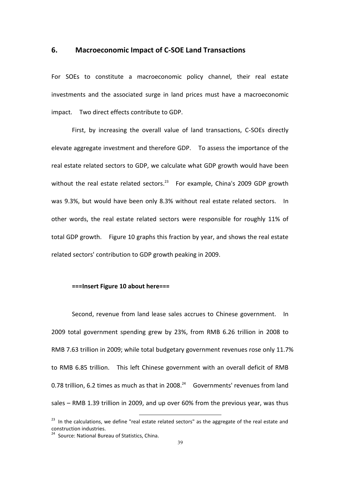### **6. Macroeconomic Impact of C-SOE Land Transactions**

For SOEs to constitute a macroeconomic policy channel, their real estate investments and the associated surge in land prices must have a macroeconomic impact. Two direct effects contribute to GDP.

First, by increasing the overall value of land transactions, C-SOEs directly elevate aggregate investment and therefore GDP. To assess the importance of the real estate related sectors to GDP, we calculate what GDP growth would have been without the real estate related sectors.<sup>23</sup> For example, China's 2009 GDP growth was 9.3%, but would have been only 8.3% without real estate related sectors. In other words, the real estate related sectors were responsible for roughly 11% of total GDP growth. Figure 10 graphs this fraction by year, and shows the real estate related sectors' contribution to GDP growth peaking in 2009.

#### ===Insert Figure 10 about here===

Second, revenue from land lease sales accrues to Chinese government. In 2009 total government spending grew by 23%, from RMB 6.26 trillion in 2008 to RMB 7.63 trillion in 2009; while total budgetary government revenues rose only 11.7% to RMB 6.85 trillion. This left Chinese government with an overall deficit of RMB 0.78 trillion, 6.2 times as much as that in 2008. $^{24}$  Governments' revenues from land sales  $-$  RMB 1.39 trillion in 2009, and up over 60% from the previous vear, was thus

<sup>&</sup>lt;sup>23</sup> In the calculations, we define "real estate related sectors" as the aggregate of the real estate and construction industries.<br><sup>24</sup> Source: National Bureau of Statistics, China.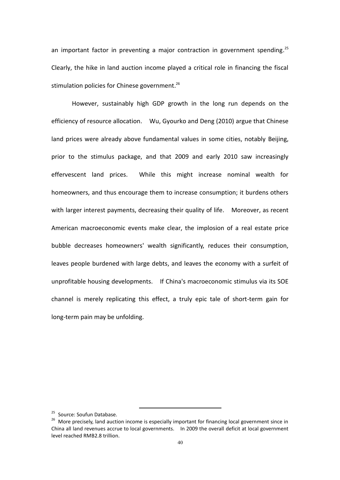an important factor in preventing a major contraction in government spending.<sup>25</sup> Clearly, the hike in land auction income played a critical role in financing the fiscal stimulation policies for Chinese government.<sup>26</sup>

However, sustainably high GDP growth in the long run depends on the efficiency of resource allocation. Wu, Gyourko and Deng (2010) argue that Chinese land prices were already above fundamental values in some cities, notably Beijing, prior to the stimulus package, and that 2009 and early 2010 saw increasingly effervescent! land! prices.! ! While! this! might! increase! nominal! wealth! for! homeowners, and thus encourage them to increase consumption; it burdens others with!larger!interest!payments,!decreasing their quality!of!life.! ! Moreover,!as!recent! American macroeconomic events make clear, the implosion of a real estate price bubble decreases homeowners' wealth significantly, reduces their consumption, leaves people burdened with large debts, and leaves the economy with a surfeit of unprofitable housing developments. If China's macroeconomic stimulus via its SOE channel is merely replicating this effect, a truly epic tale of short-term gain for long-term pain may be unfolding.

<sup>&</sup>lt;sup>25</sup> Source: Soufun Database.<br><sup>26</sup> More precisely, land auction income is especially important for financing local government since in China all land revenues accrue to local governments. In 2009 the overall deficit at local government level reached RMB2.8 trillion.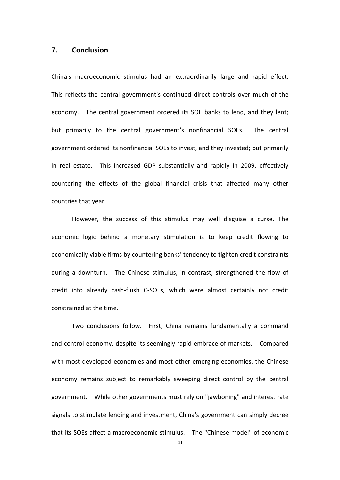## **7.# Conclusion**

China's macroeconomic stimulus had an extraordinarily large and rapid effect. This reflects the central government's continued direct controls over much of the economy. The central government ordered its SOE banks to lend, and they lent; but primarily to the central government's nonfinancial SOEs. The central government ordered its nonfinancial SOEs to invest, and they invested; but primarily in real estate. This increased GDP substantially and rapidly in 2009, effectively countering the effects of the global financial crisis that affected many other countries that year.

However, the success of this stimulus may well disguise a curse. The economic logic behind a monetary stimulation is to keep credit flowing to economically viable firms by countering banks' tendency to tighten credit constraints during a downturn. The Chinese stimulus, in contrast, strengthened the flow of credit into already cash-flush C-SOEs, which were almost certainly not credit constrained at the time.

Two conclusions follow. First, China remains fundamentally a command and control economy, despite its seemingly rapid embrace of markets. Compared with most developed economies and most other emerging economies, the Chinese economy remains subject to remarkably sweeping direct control by the central government. While other governments must rely on "jawboning" and interest rate signals to stimulate lending and investment, China's government can simply decree that its SOEs affect a macroeconomic stimulus. The "Chinese model" of economic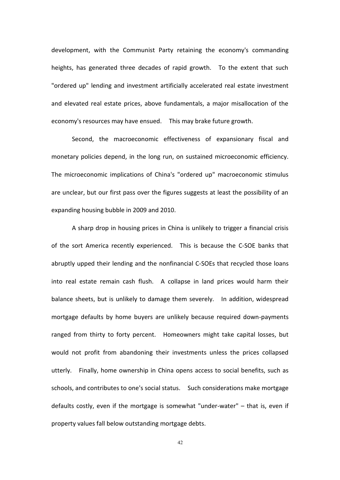development, with the Communist Party retaining the economy's commanding heights, has generated three decades of rapid growth. To the extent that such "ordered up" lending and investment artificially accelerated real estate investment and elevated real estate prices, above fundamentals, a major misallocation of the economy's resources may have ensued. This may brake future growth.

Second, the macroeconomic effectiveness of expansionary fiscal and monetary policies depend, in the long run, on sustained microeconomic efficiency. The microeconomic implications of China's "ordered up" macroeconomic stimulus are unclear, but our first pass over the figures suggests at least the possibility of an expanding housing bubble in 2009 and 2010.

A sharp drop in housing prices in China is unlikely to trigger a financial crisis of the sort America recently experienced. This is because the C-SOE banks that abruptly upped their lending and the nonfinancial C-SOEs that recycled those loans into real estate remain cash flush. A collapse in land prices would harm their balance sheets, but is unlikely to damage them severely. In addition, widespread mortgage defaults by home buyers are unlikely because required down-payments ranged from thirty to forty percent. Homeowners might take capital losses, but would not profit from abandoning their investments unless the prices collapsed utterly. Finally, home ownership in China opens access to social benefits, such as schools, and contributes to one's social status. Such considerations make mortgage defaults costly, even if the mortgage is somewhat "under-water"  $-$  that is, even if property values fall below outstanding mortgage debts.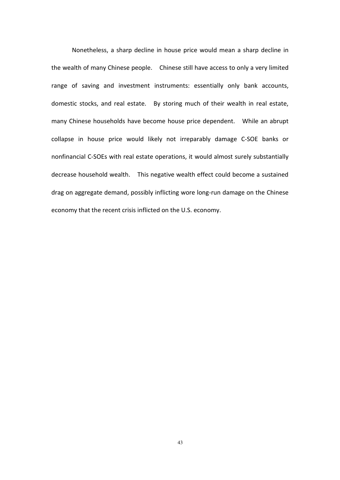Nonetheless, a sharp decline in house price would mean a sharp decline in the wealth of many Chinese people. Chinese still have access to only a very limited range of saving and investment instruments: essentially only bank accounts, domestic stocks, and real estate. By storing much of their wealth in real estate, many Chinese households have become house price dependent. While an abrupt collapse in house price would likely not irreparably damage C-SOE banks or nonfinancial C-SOEs with real estate operations, it would almost surely substantially decrease household wealth. This negative wealth effect could become a sustained drag on aggregate demand, possibly inflicting wore long-run damage on the Chinese economy that the recent crisis inflicted on the U.S. economy.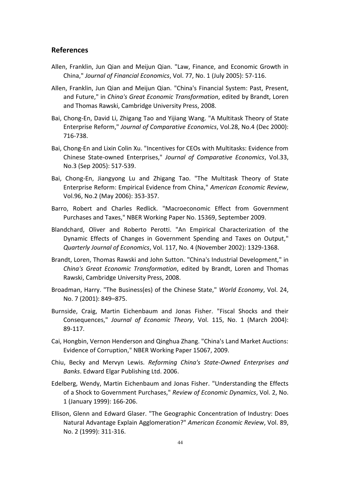## **References**

- Allen, Franklin, Jun Qian and Meijun Qian. "Law, Finance, and Economic Growth in China," *Journal of Financial Economics*, Vol. 77, No. 1 (July 2005): 57-116.
- Allen, Franklin, Jun Qian and Meijun Qian. "China's Financial System: Past, Present, and Future," in *China's Great Economic Transformation*, edited by Brandt, Loren and Thomas Rawski, Cambridge University Press, 2008.
- Bai, Chong-En, David Li, Zhigang Tao and Yijiang Wang. "A Multitask Theory of State Enterprise Reform," Journal of Comparative Economics, Vol.28, No.4 (Dec 2000): 716-738.
- Bai, Chong-En and Lixin Colin Xu. "Incentives for CEOs with Multitasks: Evidence from Chinese State-owned Enterprises," *Journal of Comparative Economics*, Vol.33, No.3 (Sep 2005): 517-539.
- Bai, Chong-En, Jiangyong Lu and Zhigang Tao. "The Multitask Theory of State Enterprise Reform: Empirical Evidence from China," *American Economic Review*, Vol.96, No.2 (May 2006): 353-357.
- Barro, Robert and Charles Redlick. "Macroeconomic Effect from Government Purchases and Taxes," NBER Working Paper No. 15369, September 2009.
- Blandchard, Oliver and Roberto Perotti. "An Empirical Characterization of the Dynamic Effects of Changes in Government Spending and Taxes on Output," *Quarterly Journal of Economics, Vol. 117, No. 4 (November 2002): 1329-1368.*
- Brandt, Loren, Thomas Rawski and John Sutton. "China's Industrial Development," in *China's Great Economic Transformation*, edited by Brandt, Loren and Thomas Rawski, Cambridge University Press, 2008.
- Broadman, Harry. "The Business(es) of the Chinese State," *World Economy*, Vol. 24, No. 7 (2001): 849-875.
- Burnside, Craig, Martin Eichenbaum and Jonas Fisher. "Fiscal Shocks and their Consequences," *Journal of Economic Theory*, Vol. 115, No. 1 (March 2004): 89-117.
- Cai, Hongbin, Vernon Henderson and Qinghua Zhang. "China's Land Market Auctions: Evidence of Corruption," NBER Working Paper 15067, 2009.
- Chiu, Becky and Mervyn Lewis. *Reforming China's State-Owned Enterprises and* **Banks. Edward Elgar Publishing Ltd. 2006.**
- Edelberg, Wendy, Martin Eichenbaum and Jonas Fisher. "Understanding the Effects of a Shock to Government Purchases," Review of Economic Dynamics, Vol. 2, No. 1 (January 1999): 166-206.
- Ellison, Glenn and Edward Glaser. "The Geographic Concentration of Industry: Does Natural Advantage Explain Agglomeration?" American Economic Review, Vol. 89, No. 2 (1999): 311-316.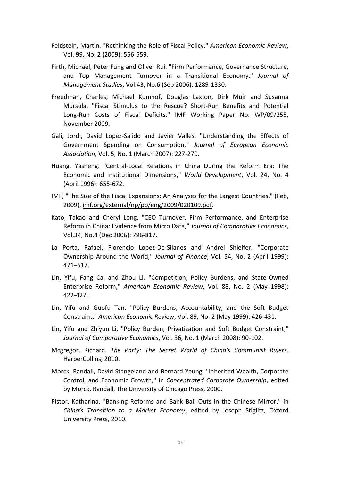- Feldstein, Martin. "Rethinking the Role of Fiscal Policy," *American Economic Review*, Vol. 99, No. 2 (2009): 556-559.
- Firth, Michael, Peter Fung and Oliver Rui. "Firm Performance, Governance Structure, and Top Management Turnover in a Transitional Economy," *Journal of Management Studies, Vol.43, No.6 (Sep 2006): 1289-1330.*
- Freedman, Charles, Michael Kumhof, Douglas Laxton, Dirk Muir and Susanna Mursula. "Fiscal Stimulus to the Rescue? Short-Run Benefits and Potential Long-Run Costs of Fiscal Deficits," IMF Working Paper No. WP/09/255, November 2009.
- Gali, Jordi, David Lopez-Salido and Javier Valles. "Understanding the Effects of Government Spending on Consumption," *Journal of European Economic Association, Vol. 5, No. 1 (March 2007): 227-270.*
- Huang, Yasheng. "Central-Local Relations in China During the Reform Era: The Economic and Institutional Dimensions," *World Development*, Vol. 24, No. 4 (April 1996): 655-672.
- IMF, "The Size of the Fiscal Expansions: An Analyses for the Largest Countries," (Feb, 2009), imf.org/external/np/pp/eng/2009/020109.pdf.
- Kato, Takao and Cheryl Long. "CEO Turnover, Firm Performance, and Enterprise Reform in China: Evidence from Micro Data," *Journal of Comparative Economics*, Vol.34, No.4 (Dec 2006): 796-817.
- La Porta, Rafael, Florencio Lopez-De-Silanes and Andrei Shleifer. "Corporate Ownership Around the World," *Journal of Finance*, Vol. 54, No. 2 (April 1999): 471-517.
- Lin, Yifu, Fang Cai and Zhou Li. "Competition, Policy Burdens, and State-Owned Enterprise Reform," *American Economic Review, Vol. 88, No. 2 (May 1998):* 422-427.
- Lin, Yifu and Guofu Tan. "Policy Burdens, Accountability, and the Soft Budget Constraint," American Economic Review, Vol. 89, No. 2 (May 1999): 426-431.
- Lin, Yifu and Zhiyun Li. "Policy Burden, Privatization and Soft Budget Constraint," *Journal of Comparative Economics, Vol. 36, No. 1 (March 2008): 90-102.*
- Mcgregor, Richard. The Party: The Secret World of China's Communist Rulers. HarperCollins, 2010.
- Morck, Randall, David Stangeland and Bernard Yeung. "Inherited Wealth, Corporate Control, and Economic Growth," in *Concentrated Corporate Ownership*, edited by Morck, Randall, The University of Chicago Press, 2000.
- Pistor, Katharina. "Banking Reforms and Bank Bail Outs in the Chinese Mirror," in *China's Transition to a Market Economy, edited by Joseph Stiglitz, Oxford* University Press, 2010.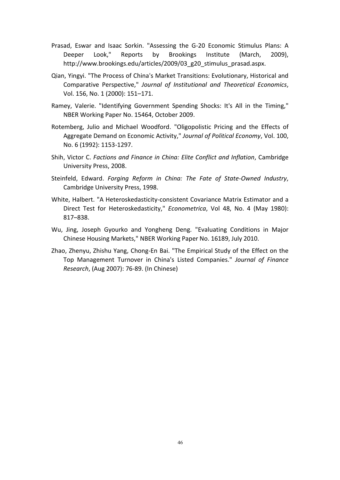- Prasad, Eswar and Isaac Sorkin. "Assessing the G-20 Economic Stimulus Plans: A Deeper Look," Reports by Brookings Institute (March, 2009), http://www.brookings.edu/articles/2009/03\_g20\_stimulus\_prasad.aspx.
- Qian, Yingyi. "The Process of China's Market Transitions: Evolutionary, Historical and Comparative! Perspective," *Journal# of# Institutional# and Theoretical# Economics*,! Vol. 156, No. 1 (2000): 151-171.
- Ramey, Valerie. "Identifying Government Spending Shocks: It's All in the Timing," NBER Working Paper No. 15464, October 2009.
- Rotemberg, Julio and Michael Woodford. "Oligopolistic Pricing and the Effects of Aggregate Demand on Economic Activity," *Journal of Political Economy*, Vol. 100, No. 6 (1992): 1153-1297.
- Shih, Victor C. *Factions and Finance in China: Elite Conflict and Inflation*, Cambridge University Press, 2008.
- Steinfeld, Edward. *Forging Reform in China: The Fate of State-Owned Industry*, Cambridge University Press, 1998.
- White, Halbert. "A Heteroskedasticity-consistent Covariance Matrix Estimator and a Direct Test for Heteroskedasticity," *Econometrica*, Vol 48, No. 4 (May 1980): 817-838.
- Wu, Jing, Joseph Gyourko and Yongheng Deng. "Evaluating Conditions in Major Chinese Housing Markets," NBER Working Paper No. 16189, July 2010.
- Zhao, Zhenyu, Zhishu Yang, Chong-En Bai. "The Empirical Study of the Effect on the Top Management Turnover in China's Listed Companies." Journal of Finance *Research*, (Aug 2007): 76-89. (In Chinese)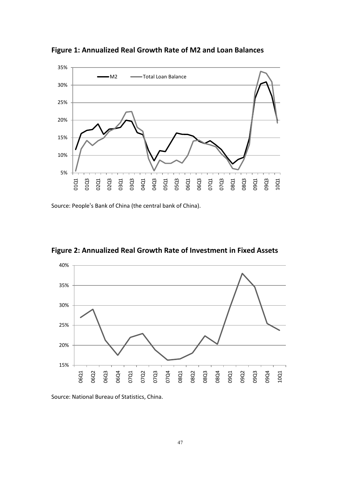

Figure 1: Annualized Real Growth Rate of M2 and Loan Balances

Source: People's Bank of China (the central bank of China).



**Figure 2: Annualized Real Growth Rate of Investment in Fixed Assets** 

Source: National Bureau of Statistics, China.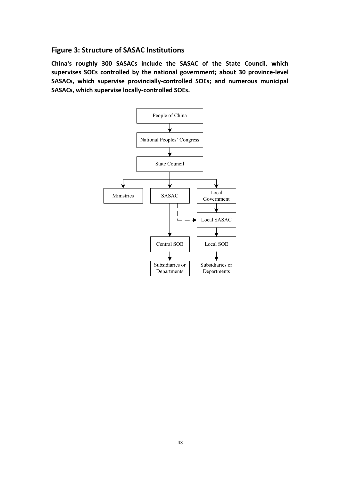## **Figure 3: Structure of SASAC Institutions**

**China's roughly 300 SASACs include the SASAC of the State Council, which** supervises SOEs controlled by the national government; about 30 province-level SASACs, which supervise provincially-controlled SOEs; and numerous municipal SASACs, which supervise locally-controlled SOEs.

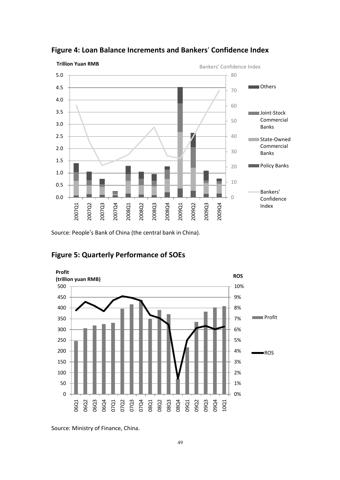

**Figure#4:#Loan#Balance#Increments and#Bankers**' **Confidence Index**

Source: People's Bank of China (the central bank in China).



## **Figure 5: Quarterly Performance of SOEs**

Source: Ministry of Finance, China.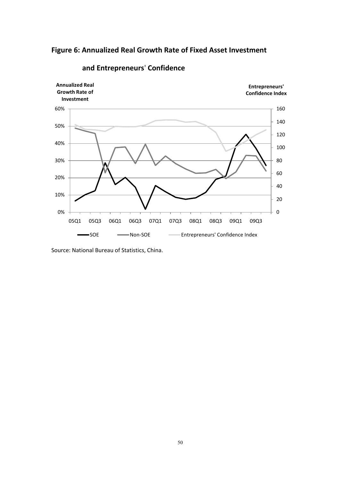



## **and Entrepreneurs' Confidence**

Source: National Bureau of Statistics, China.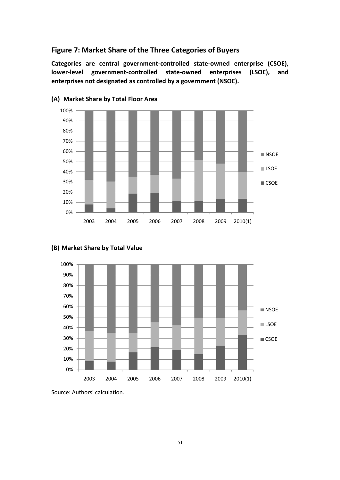## Figure 7: Market Share of the Three Categories of Buyers

Categories are central government-controlled state-owned enterprise (CSOE), lower-level government-controlled state-owned enterprises (LSOE), and enterprises not designated as controlled by a government (NSOE).



## **(A) Market#Share#by#Total#Floor#Area**



## **(B)** Market Share by Total Value

Source: Authors' calculation.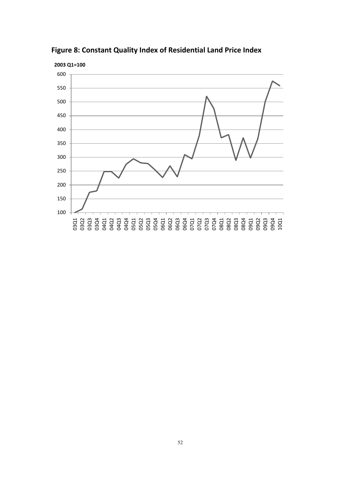

**Figure 8: Constant Quality Index of Residential Land Price Index**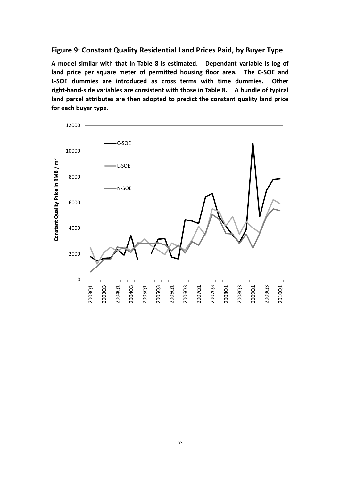## **Figure 9: Constant Quality Residential Land Prices Paid, by Buyer Type**

A model similar with that in Table 8 is estimated. Dependant variable is log of **land price per square meter of permitted housing floor area. The C-SOE and** L-SOE dummies are introduced as cross terms with time dummies. Other right-hand-side variables are consistent with those in Table 8. A bundle of typical land parcel attributes are then adopted to predict the constant quality land price for each buyer type.

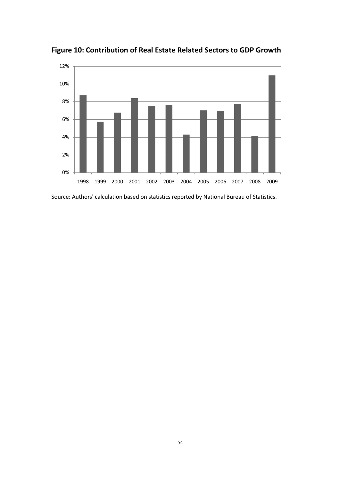

**Figure#10:#Contribution of#Real#Estate#Related#Sectors to GDP#Growth**

Source: Authors' calculation based on statistics reported by National Bureau of Statistics.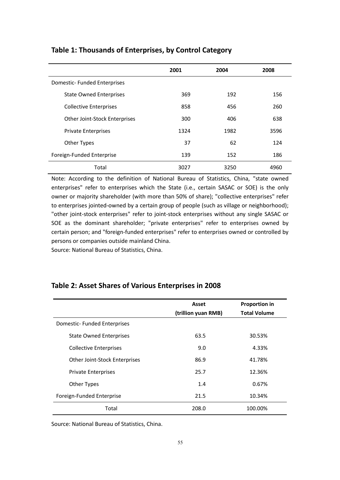|                                | 2001 | 2004 | 2008 |
|--------------------------------|------|------|------|
| Domestic- Funded Enterprises   |      |      |      |
| <b>State Owned Enterprises</b> | 369  | 192  | 156  |
| <b>Collective Enterprises</b>  | 858  | 456  | 260  |
| Other Joint-Stock Enterprises  | 300  | 406  | 638  |
| <b>Private Enterprises</b>     | 1324 | 1982 | 3596 |
| Other Types                    | 37   | 62   | 124  |
| Foreign-Funded Enterprise      | 139  | 152  | 186  |
| Total                          | 3027 | 3250 | 4960 |

## **Table 1: Thousands of Enterprises, by Control Category**

Note: According to the definition of National Bureau of Statistics, China, "state owned enterprises" refer to enterprises which the State (i.e., certain SASAC or SOE) is the only owner or majority shareholder (with more than 50% of share); "collective enterprises" refer to enterprises jointed-owned by a certain group of people (such as village or neighborhood); "other joint-stock enterprises" refer to joint-stock enterprises without any single SASAC or SOE as the dominant shareholder; "private enterprises" refer to enterprises owned by certain person; and "foreign-funded enterprises" refer to enterprises owned or controlled by persons or companies outside mainland China.

Source: National Bureau of Statistics, China.

## Table 2: Asset Shares of Various Enterprises in 2008

|                                | Asset               | <b>Proportion in</b> |
|--------------------------------|---------------------|----------------------|
|                                | (trillion yuan RMB) | <b>Total Volume</b>  |
| Domestic- Funded Enterprises   |                     |                      |
| <b>State Owned Enterprises</b> | 63.5                | 30.53%               |
| <b>Collective Enterprises</b>  | 9.0                 | 4.33%                |
| Other Joint-Stock Enterprises  | 86.9                | 41.78%               |
| <b>Private Enterprises</b>     | 25.7                | 12.36%               |
| Other Types                    | 1.4                 | 0.67%                |
| Foreign-Funded Enterprise      | 21.5                | 10.34%               |
| Total                          | 208.0               | 100.00%              |

Source: National Bureau of Statistics, China.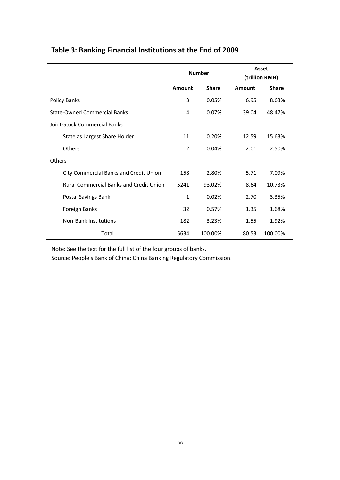|                                                | <b>Number</b> |              | Asset<br>(trillion RMB) |              |
|------------------------------------------------|---------------|--------------|-------------------------|--------------|
|                                                | Amount        | <b>Share</b> | Amount                  | <b>Share</b> |
| Policy Banks                                   | 3             | 0.05%        | 6.95                    | 8.63%        |
| <b>State-Owned Commercial Banks</b>            | 4             | 0.07%        | 39.04                   | 48.47%       |
| Joint-Stock Commercial Banks                   |               |              |                         |              |
| State as Largest Share Holder                  | 11            | 0.20%        | 12.59                   | 15.63%       |
| Others                                         | 2             | 0.04%        | 2.01                    | 2.50%        |
| <b>Others</b>                                  |               |              |                         |              |
| City Commercial Banks and Credit Union         | 158           | 2.80%        | 5.71                    | 7.09%        |
| <b>Rural Commercial Banks and Credit Union</b> | 5241          | 93.02%       | 8.64                    | 10.73%       |
| Postal Savings Bank                            | $\mathbf{1}$  | 0.02%        | 2.70                    | 3.35%        |
| Foreign Banks                                  | 32            | 0.57%        | 1.35                    | 1.68%        |
| <b>Non-Bank Institutions</b>                   | 182           | 3.23%        | 1.55                    | 1.92%        |
| Total                                          | 5634          | 100.00%      | 80.53                   | 100.00%      |

## Table 3: Banking Financial Institutions at the End of 2009

Note: See the text for the full list of the four groups of banks.

Source: People's Bank of China; China Banking Regulatory Commission.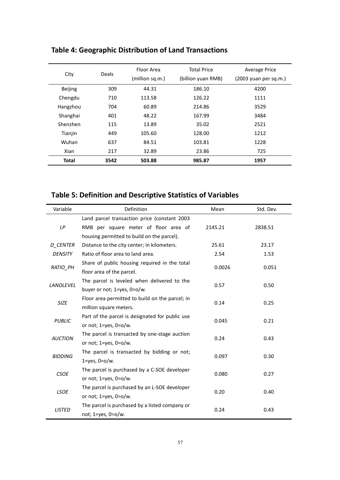| City         | <b>Deals</b> | Floor Area<br>(million sq.m.) | <b>Total Price</b><br>(billion yuan RMB) | Average Price<br>(2003 yuan per sq.m.) |
|--------------|--------------|-------------------------------|------------------------------------------|----------------------------------------|
| Beijing      | 309          | 44.31                         | 186.10                                   | 4200                                   |
| Chengdu      | 710          | 113.58                        | 126.22                                   | 1111                                   |
| Hangzhou     | 704          | 60.89                         | 214.86                                   | 3529                                   |
| Shanghai     | 401          | 48.22                         | 167.99                                   | 3484                                   |
| Shenzhen     | 115          | 13.89                         | 35.02                                    | 2521                                   |
| Tianjin      | 449          | 105.60                        | 128.00                                   | 1212                                   |
| Wuhan        | 637          | 84.51                         | 103.81                                   | 1228                                   |
| Xian         | 217          | 32.89                         | 23.86                                    | 725                                    |
| <b>Total</b> | 3542         | 503.88                        | 985.87                                   | 1957                                   |

## **Table 4: Geographic Distribution of Land Transactions**

## **Table 5: Definition and Descriptive Statistics of Variables**

| Variable        | Definition                                      | Mean    | Std. Dev. |  |
|-----------------|-------------------------------------------------|---------|-----------|--|
|                 | Land parcel transaction price (constant 2003    |         |           |  |
| LP              | RMB per square meter of floor area of           | 2145.21 | 2838.51   |  |
|                 | housing permitted to build on the parcel).      |         |           |  |
| <b>D CENTER</b> | Distance to the city center; in kilometers.     | 25.61   | 23.17     |  |
| <b>DENSITY</b>  | Ratio of floor area to land area.               | 2.54    | 1.53      |  |
| RATIO_PH        | Share of public housing required in the total   | 0.0026  | 0.051     |  |
|                 | floor area of the parcel.                       |         |           |  |
| LANDLEVEL       | The parcel is leveled when delivered to the     | 0.57    | 0.50      |  |
|                 | buyer or not; 1=yes, 0=o/w.                     |         |           |  |
| <b>SIZE</b>     | Floor area permitted to build on the parcel; in | 0.14    | 0.25      |  |
|                 | million square meters.                          |         |           |  |
| <b>PUBLIC</b>   | Part of the parcel is designated for public use | 0.045   | 0.21      |  |
|                 | or not; $1 = yes$ , $0 = o/w$ .                 |         |           |  |
| <b>AUCTION</b>  | The parcel is transacted by one-stage auction   | 0.24    | 0.43      |  |
|                 | or not; $1 = yes$ , $0 = o/w$ .                 |         |           |  |
| <b>BIDDING</b>  | The parcel is transacted by bidding or not;     | 0.097   | 0.30      |  |
|                 | $1 = yes, 0 = o/w.$                             |         |           |  |
| <b>CSOE</b>     | The parcel is purchased by a C-SOE developer    | 0.080   | 0.27      |  |
|                 | or not; $1 = yes$ , $0 = o/w$ .                 |         |           |  |
| <b>LSOE</b>     | The parcel is purchased by an L-SOE developer   | 0.20    | 0.40      |  |
|                 | or not; $1 = yes$ , $0 = o/w$ .                 |         |           |  |
| <b>LISTED</b>   | The parcel is purchased by a listed company or  | 0.24    | 0.43      |  |
|                 | not; 1=yes, 0=o/w.                              |         |           |  |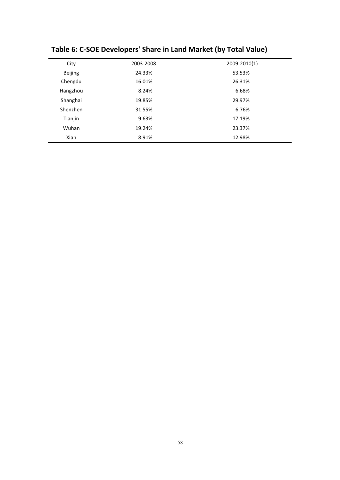| City           | 2003-2008 | 2009-2010(1) |
|----------------|-----------|--------------|
| <b>Beijing</b> | 24.33%    | 53.53%       |
| Chengdu        | 16.01%    | 26.31%       |
| Hangzhou       | 8.24%     | 6.68%        |
| Shanghai       | 19.85%    | 29.97%       |
| Shenzhen       | 31.55%    | 6.76%        |
| Tianjin        | 9.63%     | 17.19%       |
| Wuhan          | 19.24%    | 23.37%       |
| Xian           | 8.91%     | 12.98%       |

**Table#6:#C=SOE Developers**' **Share#in#Land#Market (by#Total#Value)**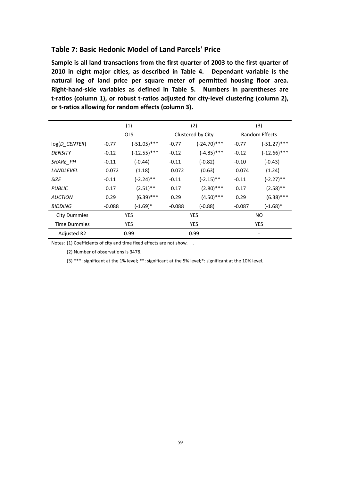## **Table#7:#Basic#Hedonic#Model#of#Land#Parcels**' **Price**

Sample is all land transactions from the first quarter of 2003 to the first quarter of 2010 in eight major cities, as described in Table 4. Dependant variable is the **natural log of land price per square meter of permitted housing floor area.** Right-hand-side variables as defined in Table 5. Numbers in parentheses are t-ratios (column 1), or robust t-ratios adjusted for city-level clustering (column 2), or t-ratios allowing for random effects (column 3).

|                     | (1)        |                | (2)               |                | (3)                   |                        |
|---------------------|------------|----------------|-------------------|----------------|-----------------------|------------------------|
|                     |            | <b>OLS</b>     | Clustered by City |                | <b>Random Effects</b> |                        |
| $log(D_{CENTER})$   | $-0.77$    | $(-51.05)$ *** | $-0.77$           | $(-24.70)$ *** | $-0.77$               | $(-51.27)$ ***         |
| <b>DENSITY</b>      | $-0.12$    | $(-12.55)$ *** | $-0.12$           | $(-4.85)$ ***  | $-0.12$               | $(-12.66)$ ***         |
| SHARE_PH            | $-0.11$    | $(-0.44)$      | $-0.11$           | $(-0.82)$      | $-0.10$               | $(-0.43)$              |
| LANDLEVEL           | 0.072      | (1.18)         | 0.072             | (0.63)         | 0.074                 | (1.24)                 |
| <b>SIZE</b>         | $-0.11$    | $(-2.24)$ **   | $-0.11$           | $(-2.15)$ **   | $-0.11$               | $(-2.27)$ **           |
| <b>PUBLIC</b>       | 0.17       | $(2.51)$ **    | 0.17              | $(2.80)$ ***   | 0.17                  | $(2.58)$ **            |
| <b>AUCTION</b>      | 0.29       | $(6.39)$ ***   | 0.29              | $(4.50)$ ***   | 0.29                  | $(6.38)$ ***           |
| <b>BIDDING</b>      | $-0.088$   | $(-1.69)*$     | $-0.088$          | $(-0.88)$      | $-0.087$              | $(-1.68)$ <sup>*</sup> |
| <b>City Dummies</b> | <b>YES</b> |                | <b>YES</b>        |                |                       | <b>NO</b>              |
| <b>Time Dummies</b> | YES.       |                | <b>YES</b>        |                |                       | <b>YES</b>             |
| Adjusted R2         |            | 0.99           | 0.99              |                |                       |                        |

Notes: (1) Coefficients of city and time fixed effects are not show. .

(2) Number of observations is 3478.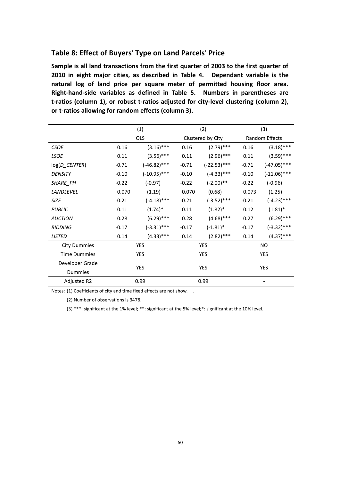## **Table#8:#Effect#of#Buyers**' **Type#on#Land#Parcels**' **Price**

Sample is all land transactions from the first quarter of 2003 to the first quarter of **2010 in eight major cities, as described in Table 4. Dependant variable is the natural log of land price per square meter of permitted housing floor area.** Right-hand-side variables as defined in Table 5. Numbers in parentheses are t-ratios (column 1), or robust t-ratios adjusted for city-level clustering (column 2), or t-ratios allowing for random effects (column 3).

|                     | (1)        |                | (2)        |                   | (3)        |                |  |
|---------------------|------------|----------------|------------|-------------------|------------|----------------|--|
|                     |            | <b>OLS</b>     |            | Clustered by City |            | Random Effects |  |
| <b>CSOE</b>         | 0.16       | $(3.16)$ ***   | 0.16       | $(2.79)$ ***      | 0.16       | $(3.18)$ ***   |  |
| <b>LSOE</b>         | 0.11       | $(3.56)$ ***   | 0.11       | $(2.96)$ ***      | 0.11       | $(3.59)$ ***   |  |
| log(D_CENTER)       | $-0.71$    | $(-46.82)$ *** | $-0.71$    | $(-22.53)$ ***    | $-0.71$    | $(-47.05)$ *** |  |
| <b>DENSITY</b>      | $-0.10$    | $(-10.95)$ *** | $-0.10$    | $(-4.33)$ ***     | $-0.10$    | $(-11.06)$ *** |  |
| SHARE_PH            | $-0.22$    | $(-0.97)$      | $-0.22$    | $(-2.00)$ **      | $-0.22$    | $(-0.96)$      |  |
| <b>LANDLEVEL</b>    | 0.070      | (1.19)         | 0.070      | (0.68)            | 0.073      | (1.25)         |  |
| <b>SIZE</b>         | $-0.21$    | $(-4.18)$ ***  | $-0.21$    | $(-3.52)$ ***     | $-0.21$    | $(-4.23)$ ***  |  |
| <b>PUBLIC</b>       | 0.11       | $(1.74)^*$     | 0.11       | $(1.82)^*$        | 0.12       | $(1.81)^*$     |  |
| <b>AUCTION</b>      | 0.28       | $(6.29)$ ***   | 0.28       | $(4.68)$ ***      | 0.27       | $(6.29)$ ***   |  |
| <b>BIDDING</b>      | $-0.17$    | $(-3.31)$ ***  | $-0.17$    | $(-1.81)^*$       | $-0.17$    | $(-3.32)$ ***  |  |
| <b>LISTED</b>       | 0.14       | $(4.33)$ ***   | 0.14       | $(2.82)$ ***      | 0.14       | $(4.37)$ ***   |  |
| <b>City Dummies</b> |            | YES            | <b>YES</b> |                   | <b>NO</b>  |                |  |
| <b>Time Dummies</b> |            | YES            | YES        |                   | <b>YES</b> |                |  |
| Developer Grade     |            |                |            |                   |            |                |  |
| <b>Dummies</b>      | <b>YES</b> |                | <b>YES</b> |                   | <b>YES</b> |                |  |
| Adjusted R2         | 0.99       |                | 0.99       |                   |            |                |  |

Notes: (1) Coefficients of city and time fixed effects are not show. .

(2) Number of observations is 3478.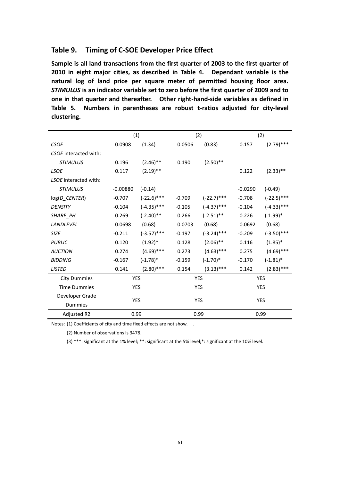## Table 9. Timing of C-SOE Developer Price Effect

Sample is all land transactions from the first quarter of 2003 to the first quarter of **2010 in eight major cities, as described in Table 4. Dependant variable is the natural log of land price per square meter of permitted housing floor area. STIMULUS** is an indicator variable set to zero before the first quarter of 2009 and to **one in that quarter and thereafter.** Other right-hand-side variables as defined in Table 5. Numbers in parentheses are robust t-ratios adjusted for city-level **clustering.**

|                       | (1)        |               |            | (2)           |            | (2)           |
|-----------------------|------------|---------------|------------|---------------|------------|---------------|
| <b>CSOE</b>           | 0.0908     | (1.34)        | 0.0506     | (0.83)        | 0.157      | $(2.79)$ ***  |
| CSOE interacted with: |            |               |            |               |            |               |
| <b>STIMULUS</b>       | 0.196      | $(2.46)$ **   | 0.190      | $(2.50)$ **   |            |               |
| <b>LSOE</b>           | 0.117      | $(2.19)$ **   |            |               | 0.122      | $(2.33)$ **   |
| LSOE interacted with: |            |               |            |               |            |               |
| <b>STIMULUS</b>       | $-0.00880$ | $(-0.14)$     |            |               | $-0.0290$  | $(-0.49)$     |
| log(D_CENTER)         | $-0.707$   | $(-22.6)$ *** | $-0.709$   | $(-22.7)$ *** | $-0.708$   | $(-22.5)$ *** |
| <b>DENSITY</b>        | $-0.104$   | $(-4.35)$ *** | $-0.105$   | $(-4.37)$ *** | $-0.104$   | $(-4.33)$ *** |
| SHARE_PH              | $-0.269$   | $(-2.40)$ **  | $-0.266$   | $(-2.51)$ **  | $-0.226$   | $(-1.99)^*$   |
| <b>LANDLEVEL</b>      | 0.0698     | (0.68)        | 0.0703     | (0.68)        | 0.0692     | (0.68)        |
| <b>SIZE</b>           | $-0.211$   | $(-3.57)$ *** | $-0.197$   | $(-3.24)$ *** | $-0.209$   | $(-3.50)$ *** |
| <b>PUBLIC</b>         | 0.120      | $(1.92)^*$    | 0.128      | $(2.06)$ **   | 0.116      | $(1.85)^*$    |
| <b>AUCTION</b>        | 0.274      | $(4.69)$ ***  | 0.273      | $(4.63)$ ***  | 0.275      | $(4.69)$ ***  |
| <b>BIDDING</b>        | $-0.167$   | $(-1.78)^*$   | $-0.159$   | $(-1.70)*$    | $-0.170$   | $(-1.81)^*$   |
| <b>LISTED</b>         | 0.141      | $(2.80)$ ***  | 0.154      | $(3.13)$ ***  | 0.142      | $(2.83)$ ***  |
| <b>City Dummies</b>   | <b>YES</b> |               | <b>YES</b> |               |            | <b>YES</b>    |
| <b>Time Dummies</b>   | <b>YES</b> |               | <b>YES</b> |               |            | <b>YES</b>    |
| Developer Grade       |            |               |            |               |            |               |
| Dummies               | <b>YES</b> |               | <b>YES</b> |               | <b>YES</b> |               |
| Adjusted R2           | 0.99       |               |            | 0.99          |            | 0.99          |

Notes: (1) Coefficients of city and time fixed effects are not show. .

(2) Number of observations is 3478.